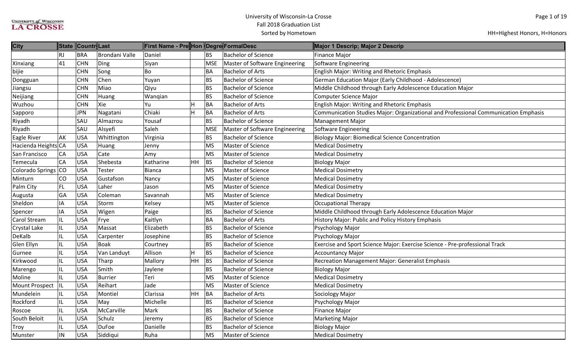| <b>City</b>         |           | State Countr Last |                | First Name - Pre Hon Degre FormalDesc |                        |            |                                | Major 1 Descrip; Major 2 Descrip                                                    |
|---------------------|-----------|-------------------|----------------|---------------------------------------|------------------------|------------|--------------------------------|-------------------------------------------------------------------------------------|
|                     | <b>RJ</b> | <b>BRA</b>        | Brondani Valle | Daniel                                |                        | <b>BS</b>  | <b>Bachelor of Science</b>     | <b>Finance Major</b>                                                                |
| Xinxiang            | 41        | <b>CHN</b>        | Ding           | Siyan                                 |                        | <b>MSE</b> | Master of Software Engineering | Software Engineering                                                                |
| bijie               |           | <b>CHN</b>        | Song           | Bo                                    |                        | BA         | <b>Bachelor of Arts</b>        | English Major: Writing and Rhetoric Emphasis                                        |
| Dongguan            |           | <b>CHN</b>        | Chen           | Yuyan                                 |                        | <b>BS</b>  | <b>Bachelor of Science</b>     | German Education Major (Early Childhood - Adolescence)                              |
| Jiangsu             |           | <b>CHN</b>        | Miao           | Qiyu                                  |                        | <b>BS</b>  | <b>Bachelor of Science</b>     | Middle Childhood through Early Adolescence Education Major                          |
| Neijiang            |           | <b>CHN</b>        | Huang          | Wangian                               |                        | <b>BS</b>  | <b>Bachelor of Science</b>     | Computer Science Major                                                              |
| Wuzhou              |           | <b>CHN</b>        | Xie            | H<br>Yu                               |                        | BA         | <b>Bachelor of Arts</b>        | English Major: Writing and Rhetoric Emphasis                                        |
| Sapporo             |           | <b>JPN</b>        | Nagatani       | Chiaki<br>$\overline{H}$              |                        | <b>BA</b>  | <b>Bachelor of Arts</b>        | Communication Studies Major: Organizational and Professional Communication Emphasis |
| Riyadh              |           | SAU               | Almazrou       | Yousaf                                |                        | BS         | <b>Bachelor of Science</b>     | Management Major                                                                    |
| Riyadh              |           | SAU               | Alsyefi        | Saleh                                 |                        | <b>MSE</b> | Master of Software Engineering | Software Engineering                                                                |
| Eagle River         | AK        | <b>USA</b>        | Whittington    | Virginia                              |                        | <b>BS</b>  | <b>Bachelor of Science</b>     | <b>Biology Major: Biomedical Science Concentration</b>                              |
| Hacienda Heights CA |           | <b>USA</b>        | Huang          | Jenny                                 |                        | MS         | Master of Science              | <b>Medical Dosimetry</b>                                                            |
| San Francisco       | CA        | <b>USA</b>        | Cate           | Amy                                   |                        | MS         | <b>Master of Science</b>       | <b>Medical Dosimetry</b>                                                            |
| Temecula            | CA        | <b>USA</b>        | Shebesta       | <b>HH</b><br>Katharine                |                        | <b>BS</b>  | <b>Bachelor of Science</b>     | <b>Biology Major</b>                                                                |
| Colorado Springs    | <b>CO</b> | <b>USA</b>        | Tester         | Bianca                                |                        | MS         | <b>Master of Science</b>       | <b>Medical Dosimetry</b>                                                            |
| Minturn             | CO        | <b>USA</b>        | Gustafson      | Nancy                                 |                        | <b>MS</b>  | Master of Science              | <b>Medical Dosimetry</b>                                                            |
| Palm City           | FL        | <b>USA</b>        | Laher          | Jason                                 |                        | MS         | <b>Master of Science</b>       | <b>Medical Dosimetry</b>                                                            |
| Augusta             | GA        | <b>USA</b>        | Coleman        | Savannah                              |                        | <b>MS</b>  | Master of Science              | <b>Medical Dosimetry</b>                                                            |
| Sheldon             | IA        | <b>USA</b>        | Storm          | Kelsey                                |                        | MS         | Master of Science              | <b>Occupational Therapy</b>                                                         |
| Spencer             | IA        | <b>USA</b>        | Wigen          | Paige                                 |                        | <b>BS</b>  | <b>Bachelor of Science</b>     | Middle Childhood through Early Adolescence Education Major                          |
| Carol Stream        | IL        | <b>USA</b>        | Frye           | Kaitlyn                               |                        | <b>BA</b>  | <b>Bachelor of Arts</b>        | History Major: Public and Policy History Emphasis                                   |
| Crystal Lake        | IL        | <b>USA</b>        | Massat         | Elizabeth                             |                        | <b>BS</b>  | <b>Bachelor of Science</b>     | Psychology Major                                                                    |
| DeKalb              | IL        | <b>USA</b>        | Carpenter      | Josephine                             |                        | <b>BS</b>  | <b>Bachelor of Science</b>     | Psychology Major                                                                    |
| Glen Ellyn          | IL        | <b>USA</b>        | Boak           | Courtney                              |                        | <b>BS</b>  | <b>Bachelor of Science</b>     | Exercise and Sport Science Major: Exercise Science - Pre-professional Track         |
| Gurnee              | IL        | <b>USA</b>        | Van Landuyt    | $\overline{H}$<br>Allison             |                        | <b>BS</b>  | <b>Bachelor of Science</b>     | <b>Accountancy Major</b>                                                            |
| Kirkwood            | L         | <b>USA</b>        | Tharp          | Mallory                               | <b>BS</b><br><b>HH</b> |            | <b>Bachelor of Science</b>     | Recreation Management Major: Generalist Emphasis                                    |
| Marengo             | IL        | <b>USA</b>        | Smith          | Jaylene                               |                        | <b>BS</b>  | <b>Bachelor of Science</b>     | <b>Biology Major</b>                                                                |
| Moline              | IL        | <b>USA</b>        | Burrier        | Teri                                  |                        | MS         | <b>Master of Science</b>       | <b>Medical Dosimetry</b>                                                            |
| Mount Prospect      | 1L        | <b>USA</b>        | Reihart        | Jade                                  |                        | <b>MS</b>  | <b>Master of Science</b>       | <b>Medical Dosimetry</b>                                                            |
| Mundelein           | IL        | <b>USA</b>        | Montiel        | Clarissa<br><b>HH</b>                 | BA                     |            | <b>Bachelor of Arts</b>        | Sociology Major                                                                     |
| Rockford            | IL        | <b>USA</b>        | May            | Michelle                              |                        | BS         | <b>Bachelor of Science</b>     | Psychology Major                                                                    |
| Roscoe              | IL        | <b>USA</b>        | McCarville     | Mark                                  |                        | <b>BS</b>  | <b>Bachelor of Science</b>     | <b>Finance Major</b>                                                                |
| South Beloit        | IL        | <b>USA</b>        | Schulz         | Jeremy                                |                        | <b>BS</b>  | <b>Bachelor of Science</b>     | <b>Marketing Major</b>                                                              |
| Troy                | IL        | <b>USA</b>        | DuFoe          | Danielle                              |                        | <b>BS</b>  | <b>Bachelor of Science</b>     | <b>Biology Major</b>                                                                |
| Munster             | IN        | <b>USA</b>        | Siddiqui       | Ruha                                  |                        | MS         | Master of Science              | <b>Medical Dosimetry</b>                                                            |
|                     |           |                   |                |                                       |                        |            |                                |                                                                                     |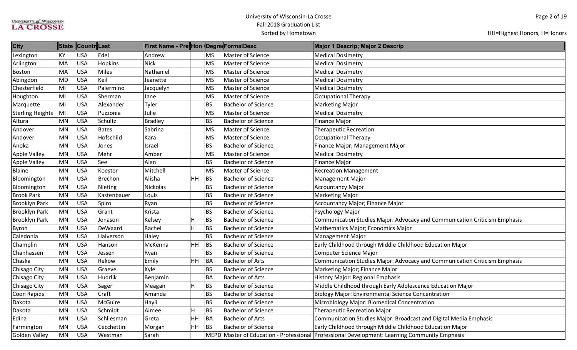| <b>City</b>             |           | State Countr Last |             | ∥First Name - Pre∥Hon ∥Degre∥FormalDesc |    |           |                            | Major 1 Descrip; Major 2 Descrip                                                              |
|-------------------------|-----------|-------------------|-------------|-----------------------------------------|----|-----------|----------------------------|-----------------------------------------------------------------------------------------------|
| Lexington               | ΚY        | <b>USA</b>        | Edel        | Andrew                                  |    | <b>MS</b> | Master of Science          | <b>Medical Dosimetry</b>                                                                      |
| Arlington               | MA        | <b>USA</b>        | Hopkins     | <b>Nick</b>                             |    | <b>MS</b> | Master of Science          | <b>Medical Dosimetry</b>                                                                      |
| Boston                  | MA        | <b>USA</b>        | Miles       | Nathaniel                               |    | <b>MS</b> | Master of Science          | <b>Medical Dosimetry</b>                                                                      |
| Abingdon                | MD        | <b>USA</b>        | Keil        | Jeanette                                |    | <b>MS</b> | Master of Science          | <b>Medical Dosimetry</b>                                                                      |
| Chesterfield            | MI        | <b>USA</b>        | Palermino   | Jacquelyn                               |    | <b>MS</b> | Master of Science          | <b>Medical Dosimetry</b>                                                                      |
| Houghton                | MI        | <b>USA</b>        | Sherman     | Jane                                    |    | <b>MS</b> | Master of Science          | Occupational Therapy                                                                          |
| Marquette               | MI        | <b>USA</b>        | Alexander   | Tyler                                   |    | <b>BS</b> | <b>Bachelor of Science</b> | <b>Marketing Major</b>                                                                        |
| <b>Sterling Heights</b> | MI        | <b>USA</b>        | Puzzonia    | Julie                                   |    | <b>MS</b> | Master of Science          | <b>Medical Dosimetry</b>                                                                      |
| Altura                  | <b>MN</b> | <b>USA</b>        | Schultz     | <b>Bradley</b>                          |    | <b>BS</b> | <b>Bachelor of Science</b> | Finance Major                                                                                 |
| Andover                 | MN        | <b>USA</b>        | Bates       | Sabrina                                 |    | <b>MS</b> | Master of Science          | <b>Therapeutic Recreation</b>                                                                 |
| Andover                 | MN        | <b>USA</b>        | Hofschild   | Kara                                    |    | <b>MS</b> | Master of Science          | Occupational Therapy                                                                          |
| Anoka                   | <b>MN</b> | <b>USA</b>        | Jones       | Israel                                  |    | <b>BS</b> | <b>Bachelor of Science</b> | Finance Major; Management Major                                                               |
| <b>Apple Valley</b>     | MN        | <b>USA</b>        | Mehr        | Amber                                   |    | <b>MS</b> | Master of Science          | <b>Medical Dosimetry</b>                                                                      |
| <b>Apple Valley</b>     | <b>MN</b> | <b>USA</b>        | See         | Alan                                    |    | <b>BS</b> | <b>Bachelor of Science</b> | <b>Finance Major</b>                                                                          |
| Blaine                  | MN        | <b>USA</b>        | Koester     | Mitchell                                |    | <b>MS</b> | Master of Science          | <b>Recreation Management</b>                                                                  |
| Bloomington             | <b>MN</b> | <b>USA</b>        | Brechon     | Alisha                                  | HH | BS        | <b>Bachelor of Science</b> | <b>Management Major</b>                                                                       |
| Bloomington             | MN        | <b>USA</b>        | Nieting     | Nickolas                                |    | <b>BS</b> | <b>Bachelor of Science</b> | <b>Accountancy Major</b>                                                                      |
| <b>Brook Park</b>       | MN        | <b>USA</b>        | Kastenbauer | Louis                                   |    | <b>BS</b> | <b>Bachelor of Science</b> | <b>Marketing Major</b>                                                                        |
| <b>Brooklyn Park</b>    | MN        | <b>USA</b>        | Spiro       | Ryan                                    |    | <b>BS</b> | <b>Bachelor of Science</b> | Accountancy Major; Finance Major                                                              |
| <b>Brooklyn Park</b>    | MN        | <b>USA</b>        | Grant       | Krista                                  |    | <b>BS</b> | <b>Bachelor of Science</b> | Psychology Major                                                                              |
| <b>Brooklyn Park</b>    | MN        | <b>USA</b>        | Jonason     | Kelsey                                  | H  | <b>BS</b> | <b>Bachelor of Science</b> | Communication Studies Major: Advocacy and Communication Criticism Emphasis                    |
| Byron                   | <b>MN</b> | <b>USA</b>        | DeWaard     | Rachel                                  | H  | BS        | <b>Bachelor of Science</b> | Mathematics Major; Economics Major                                                            |
| Caledonia               | <b>MN</b> | <b>USA</b>        | Halverson   | Haley                                   |    | <b>BS</b> | <b>Bachelor of Science</b> | Management Major                                                                              |
| Champlin                | <b>MN</b> | <b>USA</b>        | Hanson      | McKenna                                 | HH | BS        | <b>Bachelor of Science</b> | Early Childhood through Middle Childhood Education Major                                      |
| Chanhassen              | <b>MN</b> | <b>USA</b>        | Jessen      | Ryan                                    |    | <b>BS</b> | <b>Bachelor of Science</b> | Computer Science Major                                                                        |
| Chaska                  | <b>MN</b> | <b>USA</b>        | Rekow       | Emily                                   | HH | <b>BA</b> | <b>Bachelor of Arts</b>    | Communication Studies Major: Advocacy and Communication Criticism Emphasis                    |
| Chisago City            | <b>MN</b> | <b>USA</b>        | Graeve      | Kyle                                    |    | <b>BS</b> | <b>Bachelor of Science</b> | Marketing Major; Finance Major                                                                |
| Chisago City            | MN        | <b>USA</b>        | Hudrlik     | Benjamin                                |    | <b>BA</b> | <b>Bachelor of Arts</b>    | History Major: Regional Emphasis                                                              |
| Chisago City            | <b>MN</b> | <b>USA</b>        | Sager       | Meagan                                  | H  | BS        | <b>Bachelor of Science</b> | Middle Childhood through Early Adolescence Education Major                                    |
| Coon Rapids             | <b>MN</b> | <b>USA</b>        | Craft       | Amanda                                  |    | <b>BS</b> | <b>Bachelor of Science</b> | <b>Biology Major: Environmental Science Concentration</b>                                     |
| Dakota                  | <b>MN</b> | <b>USA</b>        | McGuire     | Hayli                                   |    | <b>BS</b> | <b>Bachelor of Science</b> | Microbiology Major: Biomedical Concentration                                                  |
| Dakota                  | MN        | <b>USA</b>        | Schmidt     | Aimee                                   | H  | BS        | <b>Bachelor of Science</b> | <b>Therapeutic Recreation Major</b>                                                           |
| Edina                   | MN        | <b>USA</b>        | Schliesman  | Greta                                   | HH | BA        | <b>Bachelor of Arts</b>    | Communication Studies Major: Broadcast and Digital Media Emphasis                             |
| Farmington              | <b>MN</b> | <b>USA</b>        | Cecchettini | Morgan                                  | HH | BS        | <b>Bachelor of Science</b> | Early Childhood through Middle Childhood Education Major                                      |
| <b>Golden Valley</b>    | <b>MN</b> | <b>USA</b>        | Westman     | Sarah                                   |    |           |                            | MEPD Master of Education - Professional Professional Development: Learning Community Emphasis |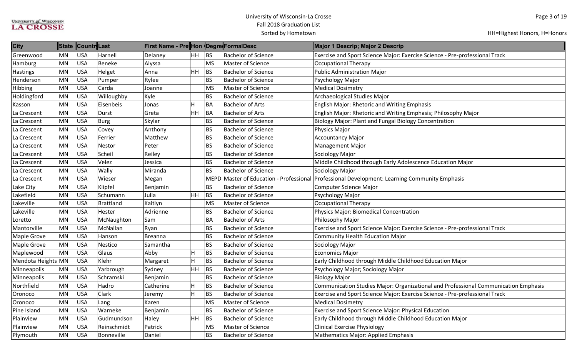| <b>City</b>        | <b>State</b> | Countr Last |                   | ∥First Name - Pre∥Hon ∥Degre∥FormalDesc |                           |           |                            | Major 1 Descrip; Major 2 Descrip                                                              |
|--------------------|--------------|-------------|-------------------|-----------------------------------------|---------------------------|-----------|----------------------------|-----------------------------------------------------------------------------------------------|
| Greenwood          | MN           | <b>USA</b>  | Harnell           | Delaney                                 | HH BS                     |           | <b>Bachelor of Science</b> | Exercise and Sport Science Major: Exercise Science - Pre-professional Track                   |
| Hamburg            | <b>MN</b>    | <b>USA</b>  | Beneke            | Alyssa                                  |                           | <b>MS</b> | Master of Science          | Occupational Therapy                                                                          |
| <b>Hastings</b>    | <b>MN</b>    | <b>USA</b>  | Helget            | Anna                                    | <b>HH</b>                 | BS        | <b>Bachelor of Science</b> | Public Administration Major                                                                   |
| Henderson          | <b>MN</b>    | <b>USA</b>  | Pumper            | Rylee                                   |                           | <b>BS</b> | <b>Bachelor of Science</b> | Psychology Major                                                                              |
| Hibbing            | <b>MN</b>    | <b>USA</b>  | Carda             | Joanne                                  |                           | <b>MS</b> | Master of Science          | <b>Medical Dosimetry</b>                                                                      |
| Holdingford        | <b>MN</b>    | <b>USA</b>  | Willoughby        | Kyle                                    |                           | <b>BS</b> | <b>Bachelor of Science</b> | Archaeological Studies Major                                                                  |
| Kasson             | MN           | <b>USA</b>  | Eisenbeis         | Jonas                                   | H                         | BA        | <b>Bachelor of Arts</b>    | English Major: Rhetoric and Writing Emphasis                                                  |
| La Crescent        | <b>MN</b>    | <b>USA</b>  | Durst             | Greta                                   | HH                        | BA        | <b>Bachelor of Arts</b>    | English Major: Rhetoric and Writing Emphasis; Philosophy Major                                |
| La Crescent        | <b>MN</b>    | <b>USA</b>  | Burg              | Skylar                                  |                           | <b>BS</b> | <b>Bachelor of Science</b> | Biology Major: Plant and Fungal Biology Concentration                                         |
| La Crescent        | MN           | <b>USA</b>  | Covey             | Anthony                                 |                           | <b>BS</b> | <b>Bachelor of Science</b> | Physics Major                                                                                 |
| La Crescent        | <b>MN</b>    | <b>USA</b>  | Ferrier           | Matthew                                 |                           | <b>BS</b> | <b>Bachelor of Science</b> | <b>Accountancy Major</b>                                                                      |
| La Crescent        | <b>MN</b>    | <b>USA</b>  | Nestor            | Peter                                   |                           | <b>BS</b> | <b>Bachelor of Science</b> | Management Major                                                                              |
| La Crescent        | <b>MN</b>    | <b>USA</b>  | Scheil            | Reiley                                  |                           | <b>BS</b> | <b>Bachelor of Science</b> | Sociology Major                                                                               |
| La Crescent        | <b>MN</b>    | <b>USA</b>  | Velez             | Jessica                                 |                           | <b>BS</b> | <b>Bachelor of Science</b> | Middle Childhood through Early Adolescence Education Major                                    |
| La Crescent        | <b>MN</b>    | <b>USA</b>  | Wally             | Miranda                                 |                           | <b>BS</b> | <b>Bachelor of Science</b> | Sociology Major                                                                               |
| La Crescent        | <b>MN</b>    | <b>USA</b>  | Wieser            | Megan                                   |                           |           |                            | MEPD Master of Education - Professional Professional Development: Learning Community Emphasis |
| Lake City          | MN           | <b>USA</b>  | Klipfel           | Benjamin                                |                           | <b>BS</b> | <b>Bachelor of Science</b> | Computer Science Major                                                                        |
| Lakefield          | <b>MN</b>    | <b>USA</b>  | Schumann          | Julia                                   | HH                        | <b>BS</b> | <b>Bachelor of Science</b> | Psychology Major                                                                              |
| Lakeville          | <b>MN</b>    | <b>USA</b>  | Brattland         | Kaitlyn                                 |                           | <b>MS</b> | Master of Science          | Occupational Therapy                                                                          |
| Lakeville          | MN           | <b>USA</b>  | Hester            | Adrienne                                |                           | <b>BS</b> | <b>Bachelor of Science</b> | Physics Major: Biomedical Concentration                                                       |
| Loretto            | MN           | <b>USA</b>  | McNaughton        | Sam                                     |                           | <b>BA</b> | <b>Bachelor of Arts</b>    | Philosophy Major                                                                              |
| Mantorville        | <b>MN</b>    | <b>USA</b>  | McNallan          | Ryan                                    |                           | <b>BS</b> | <b>Bachelor of Science</b> | Exercise and Sport Science Major: Exercise Science - Pre-professional Track                   |
| <b>Maple Grove</b> | <b>MN</b>    | <b>USA</b>  | Hanson            | <b>Breanna</b>                          |                           | <b>BS</b> | <b>Bachelor of Science</b> | Community Health Education Major                                                              |
| <b>Maple Grove</b> | MN           | <b>USA</b>  | Nestico           | Samantha                                |                           | <b>BS</b> | <b>Bachelor of Science</b> | Sociology Major                                                                               |
| Maplewood          | <b>MN</b>    | <b>USA</b>  | Glaus             | Abby                                    | H                         | BS        | <b>Bachelor of Science</b> | <b>Economics Major</b>                                                                        |
| Mendota Heights MN |              | <b>USA</b>  | Klehr             | Margaret                                | $\boldsymbol{\mathsf{H}}$ | BS        | <b>Bachelor of Science</b> | Early Childhood through Middle Childhood Education Major                                      |
| Minneapolis        | MN           | <b>USA</b>  | Yarbrough         | Sydney                                  | HH                        | BS        | <b>Bachelor of Science</b> | Psychology Major; Sociology Major                                                             |
| Minneapolis        | <b>MN</b>    | <b>USA</b>  | Schramski         | Benjamin                                |                           | <b>BS</b> | <b>Bachelor of Science</b> | <b>Biology Major</b>                                                                          |
| Northfield         | <b>MN</b>    | <b>USA</b>  | Hadro             | Catherine                               | H                         | BS        | <b>Bachelor of Science</b> | Communication Studies Major: Organizational and Professional Communication Emphasis           |
| Oronoco            | MN           | <b>USA</b>  | <b>Clark</b>      | Jeremy                                  | H                         | BS        | <b>Bachelor of Science</b> | Exercise and Sport Science Major: Exercise Science - Pre-professional Track                   |
| Oronoco            | <b>MN</b>    | <b>USA</b>  | Lang              | Karen                                   |                           | <b>MS</b> | Master of Science          | <b>Medical Dosimetry</b>                                                                      |
| Pine Island        | <b>MN</b>    | <b>USA</b>  | Warneke           | Benjamin                                |                           | <b>BS</b> | <b>Bachelor of Science</b> | <b>Exercise and Sport Science Major: Physical Education</b>                                   |
| Plainview          | <b>MN</b>    | <b>USA</b>  | Gudmundson        | Haley                                   | HH                        | BS        | <b>Bachelor of Science</b> | Early Childhood through Middle Childhood Education Major                                      |
| Plainview          | <b>MN</b>    | <b>USA</b>  | Reinschmidt       | Patrick                                 |                           | <b>MS</b> | Master of Science          | Clinical Exercise Physiology                                                                  |
| Plymouth           | <b>MN</b>    | <b>USA</b>  | <b>Bonneville</b> | Daniel                                  |                           | <b>BS</b> | <b>Bachelor of Science</b> | Mathematics Major: Applied Emphasis                                                           |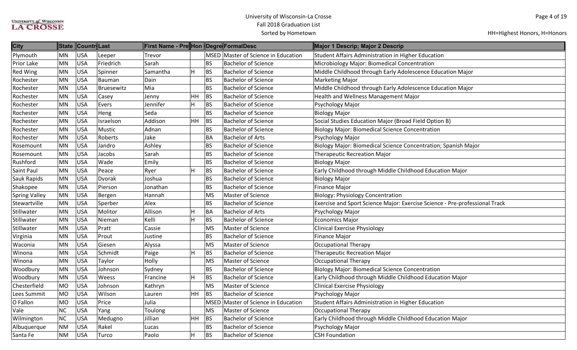| <b>City</b>          | State     | Countr Last |            | <b>First Name - Pre Hon Degre FormalDesc</b> |                         |             |                                     | Major 1 Descrip; Major 2 Descrip                                            |
|----------------------|-----------|-------------|------------|----------------------------------------------|-------------------------|-------------|-------------------------------------|-----------------------------------------------------------------------------|
| Plymouth             | MN        | <b>USA</b>  | Leeper     | Trevor                                       |                         |             | MSED Master of Science in Education | Student Affairs Administration in Higher Education                          |
| Prior Lake           | MN        | USA         | Friedrich  | Sarah                                        |                         | <b>BS</b>   | <b>Bachelor of Science</b>          | Microbiology Major: Biomedical Concentration                                |
| <b>Red Wing</b>      | MN        | USA         | Spinner    | Samantha                                     | H                       | BS          | <b>Bachelor of Science</b>          | Middle Childhood through Early Adolescence Education Major                  |
| Rochester            | MN        | <b>USA</b>  | Bauman     | Dain                                         |                         | <b>BS</b>   | <b>Bachelor of Science</b>          | <b>Marketing Major</b>                                                      |
| Rochester            | MN        | <b>USA</b>  | Bruesewitz | Mia                                          |                         | <b>BS</b>   | <b>Bachelor of Science</b>          | Middle Childhood through Early Adolescence Education Major                  |
| Rochester            | MN        | <b>USA</b>  | Casey      | Jenny                                        | <b>HH</b>               | <b>BS</b>   | <b>Bachelor of Science</b>          | Health and Wellness Management Major                                        |
| Rochester            | MN        | <b>USA</b>  | Evers      | Jennifer                                     | H                       | BS          | <b>Bachelor of Science</b>          | Psychology Major                                                            |
| Rochester            | MN        | <b>USA</b>  | Heng       | Seda                                         |                         | <b>BS</b>   | <b>Bachelor of Science</b>          | <b>Biology Major</b>                                                        |
| Rochester            | MN        | <b>USA</b>  | Israelson  | Addison                                      | <b>HH</b>               | BS          | <b>Bachelor of Science</b>          | Social Studies Education Major (Broad Field Option B)                       |
| Rochester            | MN        | <b>USA</b>  | Mustic     | Adnan                                        |                         | <b>BS</b>   | <b>Bachelor of Science</b>          | <b>Biology Major: Biomedical Science Concentration</b>                      |
| Rochester            | MN        | <b>USA</b>  | Roberts    | Jake                                         |                         | <b>BA</b>   | <b>Bachelor of Arts</b>             | Psychology Major                                                            |
| Rosemount            | MN        | <b>USA</b>  | Jandro     | Ashley                                       |                         | <b>BS</b>   | <b>Bachelor of Science</b>          | Biology Major: Biomedical Science Concentration; Spanish Major              |
| Rosemount            | MN        | <b>USA</b>  | Jacobs     | Sarah                                        |                         | <b>BS</b>   | <b>Bachelor of Science</b>          | <b>Therapeutic Recreation Major</b>                                         |
| Rushford             | MN        | <b>USA</b>  | Wade       | Emily                                        |                         | <b>BS</b>   | <b>Bachelor of Science</b>          | <b>Biology Major</b>                                                        |
| Saint Paul           | MN        | <b>USA</b>  | Peace      | Ryer                                         | H                       | BS          | <b>Bachelor of Science</b>          | Early Childhood through Middle Childhood Education Major                    |
| Sauk Rapids          | MN        | USA         | Dvorak     | Joshua                                       |                         | <b>BS</b>   | <b>Bachelor of Science</b>          | <b>Biology Major</b>                                                        |
| Shakopee             | MN        | <b>USA</b>  | Pierson    | Jonathan                                     |                         | <b>BS</b>   | <b>Bachelor of Science</b>          | Finance Major                                                               |
| <b>Spring Valley</b> | MN        | <b>USA</b>  | Bergen     | Hannah                                       |                         | <b>MS</b>   | Master of Science                   | <b>Biology: Physiology Concentration</b>                                    |
| Stewartville         | MN        | <b>USA</b>  | Sperber    | Alex                                         |                         | <b>BS</b>   | <b>Bachelor of Science</b>          | Exercise and Sport Science Major: Exercise Science - Pre-professional Track |
| Stillwater           | MN        | <b>USA</b>  | Molitor    | Allison                                      | $\overline{\mathsf{H}}$ | BA          | <b>Bachelor of Arts</b>             | Psychology Major                                                            |
| Stillwater           | MN        | <b>USA</b>  | Nieman     | Kelli                                        | $\overline{H}$          | BS          | <b>Bachelor of Science</b>          | Economics Major                                                             |
| Stillwater           | MN        | <b>USA</b>  | Pratt      | Cassie                                       |                         | <b>MS</b>   | Master of Science                   | <b>Clinical Exercise Physiology</b>                                         |
| Virginia             | MN        | USA         | Prout      | Justine                                      |                         | <b>BS</b>   | <b>Bachelor of Science</b>          | <b>Finance Major</b>                                                        |
| Waconia              | MN        | USA         | Giesen     | Alyssa                                       |                         | <b>MS</b>   | Master of Science                   | Occupational Therapy                                                        |
| Winona               | MN        | <b>USA</b>  | Schmidt    | Paige                                        | H                       | BS          | <b>Bachelor of Science</b>          | <b>Therapeutic Recreation Major</b>                                         |
| Winona               | MN        | <b>USA</b>  | Taylor     | Holly                                        |                         | <b>MS</b>   | Master of Science                   | <b>Occupational Therapy</b>                                                 |
| Woodbury             | MN        | <b>USA</b>  | Johnson    | Sydney                                       |                         | <b>BS</b>   | <b>Bachelor of Science</b>          | <b>Biology Major: Biomedical Science Concentration</b>                      |
| Woodbury             | MN        | <b>USA</b>  | Weess      | Francine                                     | H                       | BS          | <b>Bachelor of Science</b>          | Early Childhood through Middle Childhood Education Major                    |
| Chesterfield         | <b>MO</b> | <b>USA</b>  | Johnson    | Kathryn                                      |                         | <b>MS</b>   | Master of Science                   | <b>Clinical Exercise Physiology</b>                                         |
| Lees Summit          | <b>MO</b> | USA         | Wilson     | Lauren                                       | HH                      | BS          | <b>Bachelor of Science</b>          | Psychology Major                                                            |
| O Fallon             | <b>MO</b> | <b>USA</b>  | Price      | Julia                                        |                         | <b>MSED</b> | Master of Science in Education      | Student Affairs Administration in Higher Education                          |
| Vale                 | <b>NC</b> | <b>USA</b>  | Yang       | Toulong                                      |                         | <b>MS</b>   | Master of Science                   | Occupational Therapy                                                        |
| Wilmington           | <b>NC</b> | <b>USA</b>  | Medugno    | Jillian                                      | HH                      | BS          | <b>Bachelor of Science</b>          | Early Childhood through Middle Childhood Education Major                    |
| Albuquerque          | <b>NM</b> | <b>USA</b>  | Rakel      | Lucas                                        |                         | <b>BS</b>   | <b>Bachelor of Science</b>          | Psychology Major                                                            |
| Santa Fe             | <b>NM</b> | USA         | Turco      | Paolo                                        | H                       | <b>BS</b>   | <b>Bachelor of Science</b>          | <b>CSH Foundation</b>                                                       |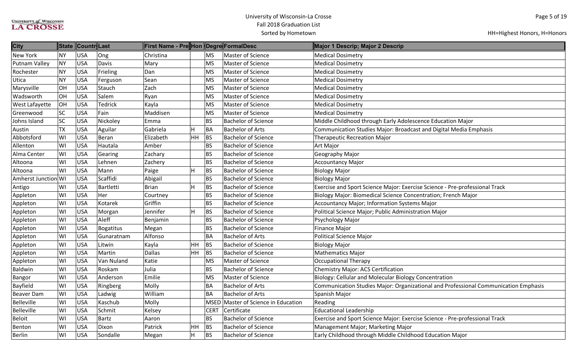| <b>City</b>          |           | State Countr Last |                | ∥First Name - Pre∥Hon ∥Degre∥FormalDesc |          |             |                                     | Major 1 Descrip; Major 2 Descrip                                                    |
|----------------------|-----------|-------------------|----------------|-----------------------------------------|----------|-------------|-------------------------------------|-------------------------------------------------------------------------------------|
| <b>New York</b>      | NY        | <b>USA</b>        | Ong            | Christina                               |          | <b>MS</b>   | Master of Science                   | <b>Medical Dosimetry</b>                                                            |
| <b>Putnam Valley</b> | <b>NY</b> | <b>USA</b>        | Davis          | Mary                                    |          | <b>MS</b>   | Master of Science                   | <b>Medical Dosimetry</b>                                                            |
| Rochester            | <b>NY</b> | <b>USA</b>        | Frieling       | Dan                                     |          | <b>MS</b>   | Master of Science                   | <b>Medical Dosimetry</b>                                                            |
| Utica                | <b>NY</b> | <b>USA</b>        | Ferguson       | Sean                                    |          | <b>MS</b>   | Master of Science                   | <b>Medical Dosimetry</b>                                                            |
| Marysville           | OH        | <b>USA</b>        | Stauch         | Zach                                    |          | <b>MS</b>   | Master of Science                   | <b>Medical Dosimetry</b>                                                            |
| Wadsworth            | OH        | <b>USA</b>        | Salem          | Ryan                                    |          | <b>MS</b>   | Master of Science                   | <b>Medical Dosimetry</b>                                                            |
| West Lafayette       | OH        | <b>USA</b>        | <b>Tedrick</b> | Kayla                                   |          | <b>MS</b>   | Master of Science                   | <b>Medical Dosimetry</b>                                                            |
| Greenwood            | <b>SC</b> | <b>USA</b>        | Fain           | Maddisen                                |          | <b>MS</b>   | Master of Science                   | <b>Medical Dosimetry</b>                                                            |
| Johns Island         | <b>SC</b> | <b>USA</b>        | Nickoley       | Emma                                    |          | <b>BS</b>   | <b>Bachelor of Science</b>          | Middle Childhood through Early Adolescence Education Major                          |
| Austin               | <b>TX</b> | <b>USA</b>        | Aguilar        | Gabriela                                | Н        | BA          | <b>Bachelor of Arts</b>             | Communication Studies Major: Broadcast and Digital Media Emphasis                   |
| Abbotsford           | WI        | <b>USA</b>        | Beran          | Elizabeth                               | HH       | BS          | <b>Bachelor of Science</b>          | <b>Therapeutic Recreation Major</b>                                                 |
| Allenton             | WI        | <b>USA</b>        | Hautala        | Amber                                   |          | <b>BS</b>   | <b>Bachelor of Science</b>          | Art Major                                                                           |
| Alma Center          | WI        | <b>USA</b>        | Gearing        | Zachary                                 |          | <b>BS</b>   | <b>Bachelor of Science</b>          | Geography Major                                                                     |
| Altoona              | WI        | <b>USA</b>        | Lehnen         | Zachery                                 |          | <b>BS</b>   | <b>Bachelor of Science</b>          | <b>Accountancy Major</b>                                                            |
| Altoona              | WI        | <b>USA</b>        | Mann           | Paige                                   | H        | BS          | <b>Bachelor of Science</b>          | <b>Biology Major</b>                                                                |
| Amherst Junction WI  |           | <b>USA</b>        | Scaffidi       | Abigail                                 |          | <b>BS</b>   | <b>Bachelor of Science</b>          | <b>Biology Major</b>                                                                |
| Antigo               | WI        | <b>USA</b>        | Bartletti      | Brian                                   | H        | BS          | <b>Bachelor of Science</b>          | Exercise and Sport Science Major: Exercise Science - Pre-professional Track         |
| Appleton             | WI        | <b>USA</b>        | Her            | Courtney                                |          | <b>BS</b>   | <b>Bachelor of Science</b>          | Biology Major: Biomedical Science Concentration; French Major                       |
| Appleton             | WI        | <b>USA</b>        | Kotarek        | Griffin                                 |          | <b>BS</b>   | <b>Bachelor of Science</b>          | <b>Accountancy Major; Information Systems Major</b>                                 |
| Appleton             | WI        | <b>USA</b>        | Morgan         | Jennifer                                | <b>H</b> | BS          | <b>Bachelor of Science</b>          | Political Science Major; Public Administration Major                                |
| Appleton             | WI        | <b>USA</b>        | Aleff          | Benjamin                                |          | <b>BS</b>   | <b>Bachelor of Science</b>          | Psychology Major                                                                    |
| Appleton             | WI        | <b>USA</b>        | Bogatitus      | Megan                                   |          | <b>BS</b>   | <b>Bachelor of Science</b>          | Finance Major                                                                       |
| Appleton             | WI        | <b>USA</b>        | Gunaratnam     | Alfonso                                 |          | <b>BA</b>   | <b>Bachelor of Arts</b>             | Political Science Major                                                             |
| Appleton             | WI        | <b>USA</b>        | Litwin         | Kayla                                   | HH       | <b>BS</b>   | <b>Bachelor of Science</b>          | <b>Biology Major</b>                                                                |
| Appleton             | WI        | <b>USA</b>        | Martin         | <b>Dallas</b>                           | HH       | BS          | <b>Bachelor of Science</b>          | <b>Mathematics Major</b>                                                            |
| Appleton             | WI        | <b>USA</b>        | Van Nuland     | Katie                                   |          | <b>MS</b>   | Master of Science                   | Occupational Therapy                                                                |
| Baldwin              | WI        | <b>USA</b>        | Roskam         | Julia                                   |          | <b>BS</b>   | <b>Bachelor of Science</b>          | <b>Chemistry Major: ACS Certification</b>                                           |
| <b>Bangor</b>        | WI        | <b>USA</b>        | Anderson       | Emilie                                  |          | <b>MS</b>   | Master of Science                   | Biology: Cellular and Molecular Biology Concentration                               |
| Bayfield             | WI        | <b>USA</b>        | Ringberg       | Molly                                   |          | <b>BA</b>   | <b>Bachelor of Arts</b>             | Communication Studies Major: Organizational and Professional Communication Emphasis |
| <b>Beaver Dam</b>    | WI        | <b>USA</b>        | Ladwig         | William                                 |          | <b>BA</b>   | <b>Bachelor of Arts</b>             | Spanish Major                                                                       |
| Belleville           | WI        | <b>USA</b>        | Kaschub        | Molly                                   |          |             | MSED Master of Science in Education | Reading                                                                             |
| Belleville           | WI        | <b>USA</b>        | Schmit         | Kelsey                                  |          | <b>CERT</b> | Certificate                         | <b>Educational Leadership</b>                                                       |
| Beloit               | WI        | <b>USA</b>        | Bartz          | Aaron                                   |          | <b>BS</b>   | <b>Bachelor of Science</b>          | Exercise and Sport Science Major: Exercise Science - Pre-professional Track         |
| Benton               | WI        | <b>USA</b>        | Dixon          | Patrick                                 | HH       | BS          | <b>Bachelor of Science</b>          | Management Major; Marketing Major                                                   |
| <b>Berlin</b>        | WI        | <b>USA</b>        | Sondalle       | Megan                                   | H        | BS          | <b>Bachelor of Science</b>          | Early Childhood through Middle Childhood Education Major                            |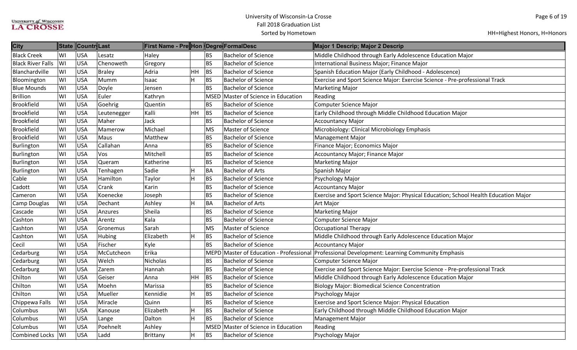| <b>City</b>              | <b>State</b> | Countr Last |               | ∥First Name - Pre∥Hon ∥Degre∥FormalDesc |                           |             |                                     | Major 1 Descrip; Major 2 Descrip                                                              |
|--------------------------|--------------|-------------|---------------|-----------------------------------------|---------------------------|-------------|-------------------------------------|-----------------------------------------------------------------------------------------------|
| <b>Black Creek</b>       | WI           | <b>USA</b>  | Lesatz        | Haley                                   |                           | BS          | <b>Bachelor of Science</b>          | Middle Childhood through Early Adolescence Education Major                                    |
| <b>Black River Falls</b> | WI           | <b>USA</b>  | Chenoweth     | Gregory                                 |                           | <b>BS</b>   | <b>Bachelor of Science</b>          | International Business Major; Finance Major                                                   |
| Blanchardville           | WI           | <b>USA</b>  | <b>Braley</b> | Adria                                   | <b>HH</b>                 | <b>BS</b>   | <b>Bachelor of Science</b>          | Spanish Education Major (Early Childhood - Adolescence)                                       |
| Bloomington              | WI           | <b>USA</b>  | Mumm          | Isaac                                   | H                         | <b>BS</b>   | <b>Bachelor of Science</b>          | Exercise and Sport Science Major: Exercise Science - Pre-professional Track                   |
| <b>Blue Mounds</b>       | WI           | <b>USA</b>  | Doyle         | Jensen                                  |                           | <b>BS</b>   | <b>Bachelor of Science</b>          | <b>Marketing Major</b>                                                                        |
| <b>Brillion</b>          | WI           | <b>USA</b>  | Euler         | Kathryn                                 |                           | <b>MSED</b> | Master of Science in Education      | Reading                                                                                       |
| <b>Brookfield</b>        | WI           | <b>USA</b>  | Goehrig       | Quentin                                 |                           | <b>BS</b>   | <b>Bachelor of Science</b>          | Computer Science Major                                                                        |
| <b>Brookfield</b>        | WI           | <b>USA</b>  | Leutenegger   | Kalli                                   | HH.                       | <b>BS</b>   | <b>Bachelor of Science</b>          | Early Childhood through Middle Childhood Education Major                                      |
| <b>Brookfield</b>        | WI           | <b>USA</b>  | Maher         | Jack                                    |                           | <b>BS</b>   | <b>Bachelor of Science</b>          | <b>Accountancy Major</b>                                                                      |
| Brookfield               | WI           | <b>USA</b>  | Mamerow       | Michael                                 |                           | <b>MS</b>   | Master of Science                   | Microbiology: Clinical Microbiology Emphasis                                                  |
| <b>Brookfield</b>        | WI           | <b>USA</b>  | Maus          | Matthew                                 |                           | <b>BS</b>   | <b>Bachelor of Science</b>          | Management Major                                                                              |
| Burlington               | WI           | <b>USA</b>  | Callahan      | Anna                                    |                           | <b>BS</b>   | <b>Bachelor of Science</b>          | Finance Major; Economics Major                                                                |
| Burlington               | WI           | <b>USA</b>  | Vos           | Mitchell                                |                           | <b>BS</b>   | <b>Bachelor of Science</b>          | Accountancy Major; Finance Major                                                              |
| Burlington               | WI           | <b>USA</b>  | Queram        | Katherine                               |                           | <b>BS</b>   | <b>Bachelor of Science</b>          | Marketing Major                                                                               |
| Burlington               | WI           | <b>USA</b>  | Tenhagen      | Sadie                                   | H                         | BA          | <b>Bachelor of Arts</b>             | Spanish Major                                                                                 |
| Cable                    | WI           | <b>USA</b>  | Hamilton      | Taylor                                  | H                         | <b>BS</b>   | <b>Bachelor of Science</b>          | Psychology Major                                                                              |
| Cadott                   | WI           | <b>USA</b>  | Crank         | Karin                                   |                           | <b>BS</b>   | <b>Bachelor of Science</b>          | <b>Accountancy Major</b>                                                                      |
| Cameron                  | WI           | <b>USA</b>  | Koenecke      | Joseph                                  |                           | <b>BS</b>   | <b>Bachelor of Science</b>          | Exercise and Sport Science Major: Physical Education; School Health Education Major           |
| Camp Douglas             | WI           | <b>USA</b>  | Dechant       | Ashley                                  | H                         | BA          | <b>Bachelor of Arts</b>             | <b>Art Major</b>                                                                              |
| Cascade                  | WI           | <b>USA</b>  | Anzures       | Sheila                                  |                           | <b>BS</b>   | <b>Bachelor of Science</b>          | <b>Marketing Major</b>                                                                        |
| Cashton                  | WI           | <b>USA</b>  | Arentz        | Kala                                    |                           | <b>BS</b>   | <b>Bachelor of Science</b>          | Computer Science Major                                                                        |
| Cashton                  | WI           | <b>USA</b>  | Gronemus      | Sarah                                   |                           | <b>MS</b>   | Master of Science                   | Occupational Therapy                                                                          |
| Cashton                  | WI           | <b>USA</b>  | Hubing        | Elizabeth                               | H                         | <b>BS</b>   | <b>Bachelor of Science</b>          | Middle Childhood through Early Adolescence Education Major                                    |
| Cecil                    | WI           | <b>USA</b>  | Fischer       | Kyle                                    |                           | <b>BS</b>   | <b>Bachelor of Science</b>          | <b>Accountancy Major</b>                                                                      |
| Cedarburg                | WI           | <b>USA</b>  | McCutcheon    | Erika                                   |                           |             |                                     | MEPD Master of Education - Professional Professional Development: Learning Community Emphasis |
| Cedarburg                | WI           | <b>USA</b>  | Welch         | Nicholas                                |                           | <b>BS</b>   | <b>Bachelor of Science</b>          | Computer Science Major                                                                        |
| Cedarburg                | WI           | <b>USA</b>  | Zarem         | Hannah                                  |                           | <b>BS</b>   | <b>Bachelor of Science</b>          | Exercise and Sport Science Major: Exercise Science - Pre-professional Track                   |
| Chilton                  | WI           | <b>USA</b>  | Geiser        | Anna                                    | <b>HH</b>                 | <b>BS</b>   | <b>Bachelor of Science</b>          | Middle Childhood through Early Adolescence Education Major                                    |
| Chilton                  | WI           | <b>USA</b>  | Moehn         | Marissa                                 |                           | <b>BS</b>   | <b>Bachelor of Science</b>          | <b>Biology Major: Biomedical Science Concentration</b>                                        |
| Chilton                  | WI           | <b>USA</b>  | Mueller       | Kennidie                                | H                         | BS          | <b>Bachelor of Science</b>          | Psychology Major                                                                              |
| Chippewa Falls           | WI           | <b>USA</b>  | Miracle       | Quinn                                   |                           | <b>BS</b>   | <b>Bachelor of Science</b>          | <b>Exercise and Sport Science Major: Physical Education</b>                                   |
| Columbus                 | WI           | <b>USA</b>  | Kanouse       | Elizabeth                               | H                         | BS          | <b>Bachelor of Science</b>          | Early Childhood through Middle Childhood Education Major                                      |
| Columbus                 | WI           | <b>USA</b>  | Lange         | Dalton                                  | H                         | <b>BS</b>   | <b>Bachelor of Science</b>          | Management Major                                                                              |
| Columbus                 | WI           | <b>USA</b>  | Poehnelt      | Ashley                                  |                           |             | MSED Master of Science in Education | Reading                                                                                       |
| Combined Locks           | WI           | <b>USA</b>  | Ladd          | Brittany                                | $\boldsymbol{\mathsf{H}}$ | <b>BS</b>   | <b>Bachelor of Science</b>          | Psychology Major                                                                              |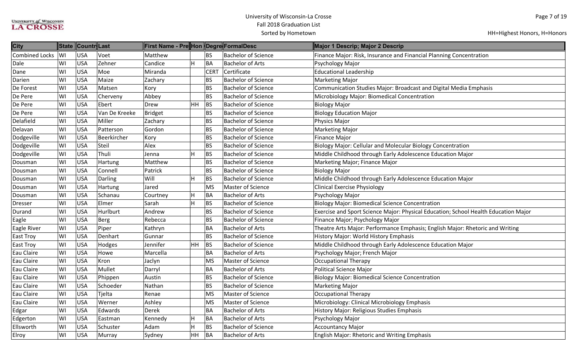| <b>City</b>           |           | State Countr Last |               | ∥First Name - Pre∥Hon ∥Degre∥FormalDesc |           |             |                            | Major 1 Descrip; Major 2 Descrip                                                    |
|-----------------------|-----------|-------------------|---------------|-----------------------------------------|-----------|-------------|----------------------------|-------------------------------------------------------------------------------------|
| <b>Combined Locks</b> | <b>WI</b> | <b>USA</b>        | Voet          | Matthew                                 |           | <b>BS</b>   | <b>Bachelor of Science</b> | Finance Major: Risk, Insurance and Financial Planning Concentration                 |
| Dale                  | WI        | <b>USA</b>        | Zehner        | Candice                                 | H         | BA          | <b>Bachelor of Arts</b>    | Psychology Major                                                                    |
| Dane                  | WI        | <b>USA</b>        | Moe           | Miranda                                 |           | <b>CERT</b> | Certificate                | <b>Educational Leadership</b>                                                       |
| Darien                | WI        | <b>USA</b>        | Maize         | Zachary                                 |           | <b>BS</b>   | <b>Bachelor of Science</b> | <b>Marketing Major</b>                                                              |
| De Forest             | WI        | <b>USA</b>        | Matsen        | Kory                                    |           | <b>BS</b>   | <b>Bachelor of Science</b> | Communication Studies Major: Broadcast and Digital Media Emphasis                   |
| De Pere               | WI        | <b>USA</b>        | Cherveny      | Abbey                                   |           | <b>BS</b>   | <b>Bachelor of Science</b> | Microbiology Major: Biomedical Concentration                                        |
| De Pere               | WI        | <b>USA</b>        | Ebert         | Drew                                    | HH        | <b>BS</b>   | <b>Bachelor of Science</b> | <b>Biology Major</b>                                                                |
| De Pere               | WI        | <b>USA</b>        | Van De Kreeke | Bridget                                 |           | <b>BS</b>   | <b>Bachelor of Science</b> | <b>Biology Education Major</b>                                                      |
| Delafield             | WI        | <b>USA</b>        | Miller        | Zachary                                 |           | <b>BS</b>   | <b>Bachelor of Science</b> | Physics Major                                                                       |
| Delavan               | WI        | <b>USA</b>        | Patterson     | Gordon                                  |           | <b>BS</b>   | <b>Bachelor of Science</b> | <b>Marketing Major</b>                                                              |
| Dodgeville            | WI        | <b>USA</b>        | Beerkircher   | Kory                                    |           | <b>BS</b>   | <b>Bachelor of Science</b> | <b>Finance Major</b>                                                                |
| Dodgeville            | WI        | <b>USA</b>        | Steil         | Alex                                    |           | <b>BS</b>   | <b>Bachelor of Science</b> | <b>Biology Major: Cellular and Molecular Biology Concentration</b>                  |
| Dodgeville            | WI        | <b>USA</b>        | Thuli         | Jenna                                   | H         | <b>BS</b>   | <b>Bachelor of Science</b> | Middle Childhood through Early Adolescence Education Major                          |
| Dousman               | WI        | <b>USA</b>        | Hartung       | Matthew                                 |           | <b>BS</b>   | <b>Bachelor of Science</b> | Marketing Major; Finance Major                                                      |
| Dousman               | WI        | <b>USA</b>        | Connell       | Patrick                                 |           | <b>BS</b>   | <b>Bachelor of Science</b> | <b>Biology Major</b>                                                                |
| Dousman               | WI        | <b>USA</b>        | Darling       | Will                                    | Н         | <b>BS</b>   | <b>Bachelor of Science</b> | Middle Childhood through Early Adolescence Education Major                          |
| Dousman               | WI        | <b>USA</b>        | Hartung       | Jared                                   |           | <b>MS</b>   | <b>Master of Science</b>   | <b>Clinical Exercise Physiology</b>                                                 |
| Dousman               | WI        | <b>USA</b>        | Schanau       | Courtney                                | H         | BA          | <b>Bachelor of Arts</b>    | Psychology Major                                                                    |
| <b>Dresser</b>        | WI        | <b>USA</b>        | Elmer         | Sarah                                   | H         | <b>BS</b>   | <b>Bachelor of Science</b> | <b>Biology Major: Biomedical Science Concentration</b>                              |
| Durand                | WI        | <b>USA</b>        | Hurlburt      | Andrew                                  |           | <b>BS</b>   | <b>Bachelor of Science</b> | Exercise and Sport Science Major: Physical Education; School Health Education Major |
| Eagle                 | WI        | <b>USA</b>        | Berg          | Rebecca                                 |           | <b>BS</b>   | <b>Bachelor of Science</b> | Finance Major; Psychology Major                                                     |
| Eagle River           | WI        | <b>USA</b>        | Piper         | Kathryn                                 |           | <b>BA</b>   | <b>Bachelor of Arts</b>    | Theatre Arts Major: Performance Emphasis; English Major: Rhetoric and Writing       |
| East Troy             | WI        | <b>USA</b>        | Denhart       | Gunnar                                  |           | <b>BS</b>   | <b>Bachelor of Science</b> | History Major: World History Emphasis                                               |
| East Troy             | WI        | <b>USA</b>        | Hodges        | Jennifer                                | HH        | <b>BS</b>   | <b>Bachelor of Science</b> | Middle Childhood through Early Adolescence Education Major                          |
| Eau Claire            | WI        | <b>USA</b>        | Howe          | Marcella                                |           | <b>BA</b>   | <b>Bachelor of Arts</b>    | Psychology Major; French Major                                                      |
| Eau Claire            | WI        | USA               | Kron          | Jaclyn                                  |           | <b>MS</b>   | Master of Science          | <b>Occupational Therapy</b>                                                         |
| Eau Claire            | WI        | <b>USA</b>        | Mullet        | Darryl                                  |           | BA          | <b>Bachelor of Arts</b>    | Political Science Major                                                             |
| Eau Claire            | WI        | <b>USA</b>        | Phippen       | Austin                                  |           | <b>BS</b>   | <b>Bachelor of Science</b> | <b>Biology Major: Biomedical Science Concentration</b>                              |
| Eau Claire            | WI        | <b>USA</b>        | Schoeder      | Nathan                                  |           | <b>BS</b>   | <b>Bachelor of Science</b> | <b>Marketing Major</b>                                                              |
| Eau Claire            | WI        | <b>USA</b>        | Tjelta        | Renae                                   |           | <b>MS</b>   | Master of Science          | <b>Occupational Therapy</b>                                                         |
| Eau Claire            | WI        | <b>USA</b>        | Werner        | Ashley                                  |           | <b>MS</b>   | <b>Master of Science</b>   | Microbiology: Clinical Microbiology Emphasis                                        |
| Edgar                 | WI        | <b>USA</b>        | Edwards       | Derek                                   |           | BA          | <b>Bachelor of Arts</b>    | History Major: Religious Studies Emphasis                                           |
| Edgerton              | WI        | <b>USA</b>        | Eastman       | Kennedy                                 | H         | BA          | <b>Bachelor of Arts</b>    | Psychology Major                                                                    |
| Ellsworth             | WI        | <b>USA</b>        | Schuster      | Adam                                    | Η         | <b>BS</b>   | <b>Bachelor of Science</b> | <b>Accountancy Major</b>                                                            |
| Elroy                 | WI        | <b>USA</b>        | Murray        | Sydney                                  | <b>HH</b> | BA          | <b>Bachelor of Arts</b>    | English Major: Rhetoric and Writing Emphasis                                        |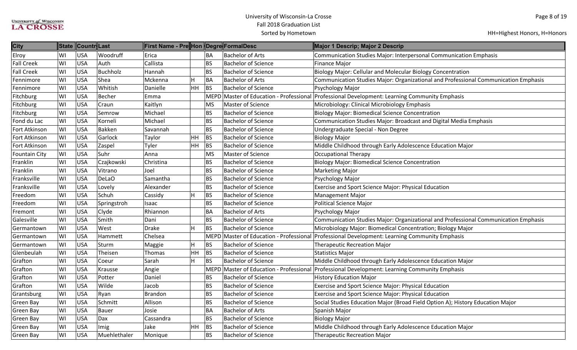| <b>City</b>          |    | State Countr Last |              | First Name - Pre Hon Degre FormalDesc |                         |             |                                    | Major 1 Descrip; Major 2 Descrip                                                              |
|----------------------|----|-------------------|--------------|---------------------------------------|-------------------------|-------------|------------------------------------|-----------------------------------------------------------------------------------------------|
| Elroy                | WI | <b>USA</b>        | Woodruff     | Erica                                 |                         | <b>BA</b>   | <b>Bachelor of Arts</b>            | Communication Studies Major: Interpersonal Communication Emphasis                             |
| <b>Fall Creek</b>    | WI | <b>USA</b>        | Auth         | Callista                              |                         | <b>BS</b>   | <b>Bachelor of Science</b>         | <b>Finance Major</b>                                                                          |
| <b>Fall Creek</b>    | WI | <b>USA</b>        | Buchholz     | Hannah                                |                         | <b>BS</b>   | <b>Bachelor of Science</b>         | Biology Major: Cellular and Molecular Biology Concentration                                   |
| Fennimore            | WI | <b>USA</b>        | Shea         | Mckenna                               | H                       | BA          | <b>Bachelor of Arts</b>            | Communication Studies Major: Organizational and Professional Communication Emphasis           |
| Fennimore            | WI | <b>USA</b>        | Whitish      | Danielle                              | HH                      | <b>BS</b>   | <b>Bachelor of Science</b>         | Psychology Major                                                                              |
| Fitchburg            | WI | <b>USA</b>        | Becher       | Emma                                  |                         | <b>MEPD</b> |                                    | Master of Education - Professional Professional Development: Learning Community Emphasis      |
| Fitchburg            | WI | <b>USA</b>        | Craun        | Kaitlyn                               |                         | <b>MS</b>   | Master of Science                  | Microbiology: Clinical Microbiology Emphasis                                                  |
| Fitchburg            | WI | <b>USA</b>        | Semrow       | Michael                               |                         | <b>BS</b>   | <b>Bachelor of Science</b>         | <b>Biology Major: Biomedical Science Concentration</b>                                        |
| Fond du Lac          | WI | <b>USA</b>        | Korneli      | Michael                               |                         | <b>BS</b>   | <b>Bachelor of Science</b>         | Communication Studies Major: Broadcast and Digital Media Emphasis                             |
| Fort Atkinson        | WI | <b>USA</b>        | Bakken       | Savannah                              |                         | <b>BS</b>   | <b>Bachelor of Science</b>         | Undergraduate Special - Non Degree                                                            |
| Fort Atkinson        | WI | <b>USA</b>        | Garlock      | Taylor                                | HH                      | <b>BS</b>   | <b>Bachelor of Science</b>         | <b>Biology Major</b>                                                                          |
| Fort Atkinson        | WI | <b>USA</b>        | Zaspel       | Tyler                                 | <b>HH</b>               | BS          | <b>Bachelor of Science</b>         | Middle Childhood through Early Adolescence Education Major                                    |
| <b>Fountain City</b> | WI | <b>USA</b>        | Suhr         | Anna                                  |                         | <b>MS</b>   | Master of Science                  | <b>Occupational Therapy</b>                                                                   |
| Franklin             | WI | <b>USA</b>        | Czajkowski   | Christina                             |                         | <b>BS</b>   | <b>Bachelor of Science</b>         | <b>Biology Major: Biomedical Science Concentration</b>                                        |
| Franklin             | WI | <b>USA</b>        | Vitrano      | Joel                                  |                         | <b>BS</b>   | <b>Bachelor of Science</b>         | <b>Marketing Major</b>                                                                        |
| Franksville          | WI | <b>USA</b>        | DeLaO        | Samantha                              |                         | <b>BS</b>   | <b>Bachelor of Science</b>         | Psychology Major                                                                              |
| Franksville          | WI | <b>USA</b>        | Lovely       | Alexander                             |                         | <b>BS</b>   | <b>Bachelor of Science</b>         | Exercise and Sport Science Major: Physical Education                                          |
| Freedom              | WI | <b>USA</b>        | Schuh        | Cassidy                               | H                       | <b>BS</b>   | <b>Bachelor of Science</b>         | <b>Management Major</b>                                                                       |
| Freedom              | WI | <b>USA</b>        | Springstroh  | Isaac                                 |                         | <b>BS</b>   | <b>Bachelor of Science</b>         | Political Science Major                                                                       |
| Fremont              | WI | <b>USA</b>        | Clyde        | Rhiannon                              |                         | BA          | <b>Bachelor of Arts</b>            | Psychology Major                                                                              |
| Galesville           | WI | <b>USA</b>        | Smith        | Dani                                  |                         | <b>BS</b>   | <b>Bachelor of Science</b>         | Communication Studies Major: Organizational and Professional Communication Emphasis           |
| Germantown           | WI | <b>USA</b>        | West         | Drake                                 | H                       | <b>BS</b>   | <b>Bachelor of Science</b>         | Microbiology Major: Biomedical Concentration; Biology Major                                   |
| Germantown           | WI | <b>USA</b>        | Hammett      | Chelsea                               |                         | <b>MEPD</b> | Master of Education - Professional | Professional Development: Learning Community Emphasis                                         |
| Germantown           | WI | <b>USA</b>        | Sturm        | Maggie                                | $\overline{\mathsf{H}}$ | BS          | <b>Bachelor of Science</b>         | <b>Therapeutic Recreation Major</b>                                                           |
| Glenbeulah           | WI | <b>USA</b>        | Theisen      | Thomas                                | HH                      | <b>BS</b>   | <b>Bachelor of Science</b>         | <b>Statistics Major</b>                                                                       |
| Grafton              | WI | <b>USA</b>        | Coeur        | Sarah                                 | H                       | BS          | <b>Bachelor of Science</b>         | Middle Childhood through Early Adolescence Education Major                                    |
| Grafton              | WI | <b>USA</b>        | Krausse      | Angie                                 |                         |             |                                    | MEPD Master of Education - Professional Professional Development: Learning Community Emphasis |
| Grafton              | WI | <b>USA</b>        | Potter       | Daniel                                |                         | <b>BS</b>   | <b>Bachelor of Science</b>         | <b>History Education Major</b>                                                                |
| Grafton              | WI | <b>USA</b>        | Wilde        | Jacob                                 |                         | <b>BS</b>   | <b>Bachelor of Science</b>         | Exercise and Sport Science Major: Physical Education                                          |
| Grantsburg           | WI | <b>USA</b>        | Ryan         | Brandon                               |                         | <b>BS</b>   | <b>Bachelor of Science</b>         | Exercise and Sport Science Major: Physical Education                                          |
| Green Bay            | WI | <b>USA</b>        | Schmitt      | Allison                               |                         | <b>BS</b>   | <b>Bachelor of Science</b>         | Social Studies Education Major (Broad Field Option A); History Education Major                |
| <b>Green Bay</b>     | WI | <b>USA</b>        | Bauer        | Josie                                 |                         | <b>BA</b>   | <b>Bachelor of Arts</b>            | Spanish Major                                                                                 |
| <b>Green Bay</b>     | WI | <b>USA</b>        | Dax          | Cassandra                             |                         | <b>BS</b>   | <b>Bachelor of Science</b>         | <b>Biology Major</b>                                                                          |
| Green Bay            | WI | <b>USA</b>        | Imig         | Jake                                  | $HH$ BS                 |             | <b>Bachelor of Science</b>         | Middle Childhood through Early Adolescence Education Major                                    |
| <b>Green Bay</b>     | WI | <b>USA</b>        | Muehlethaler | Monique                               |                         | <b>BS</b>   | <b>Bachelor of Science</b>         | <b>Therapeutic Recreation Major</b>                                                           |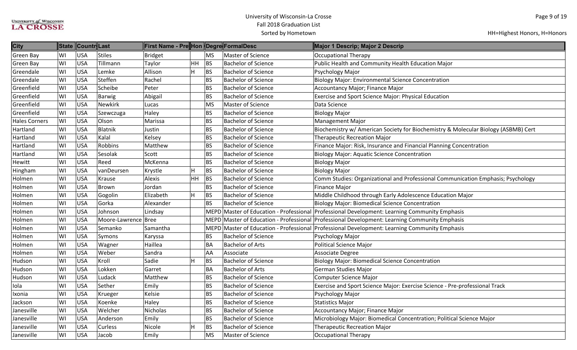| <b>City</b>          | <b>State</b> | ∥Countr∥Last |                     | First Name - Pre Hon  Degre FormalDesc |    |           |                            | Major 1 Descrip; Major 2 Descrip                                                              |
|----------------------|--------------|--------------|---------------------|----------------------------------------|----|-----------|----------------------------|-----------------------------------------------------------------------------------------------|
| <b>Green Bay</b>     | WI           | <b>USA</b>   | <b>Stiles</b>       | <b>Bridget</b>                         |    | <b>MS</b> | Master of Science          | <b>Occupational Therapy</b>                                                                   |
| <b>Green Bay</b>     | WI           | <b>USA</b>   | Tillmann            | Taylor                                 | HH | <b>BS</b> | <b>Bachelor of Science</b> | Public Health and Community Health Education Major                                            |
| Greendale            | WI           | <b>USA</b>   | Lemke               | Allison                                | H  | BS        | <b>Bachelor of Science</b> | Psychology Major                                                                              |
| Greendale            | WI           | <b>USA</b>   | Steffen             | Rachel                                 |    | BS        | <b>Bachelor of Science</b> | <b>Biology Major: Environmental Science Concentration</b>                                     |
| Greenfield           | WI           | <b>USA</b>   | Scheibe             | Peter                                  |    | <b>BS</b> | <b>Bachelor of Science</b> | Accountancy Major; Finance Major                                                              |
| Greenfield           | WI           | <b>USA</b>   | Barwig              | Abigail                                |    | <b>BS</b> | <b>Bachelor of Science</b> | <b>Exercise and Sport Science Major: Physical Education</b>                                   |
| Greenfield           | WI           | <b>USA</b>   | <b>Newkirk</b>      | Lucas                                  |    | <b>MS</b> | Master of Science          | Data Science                                                                                  |
| Greenfield           | WI           | <b>USA</b>   | Szewczuga           | Haley                                  |    | <b>BS</b> | <b>Bachelor of Science</b> | <b>Biology Major</b>                                                                          |
| <b>Hales Corners</b> | WI           | <b>USA</b>   | Olson               | Marissa                                |    | <b>BS</b> | <b>Bachelor of Science</b> | <b>Management Major</b>                                                                       |
| Hartland             | WI           | <b>USA</b>   | Blatnik             | Justin                                 |    | <b>BS</b> | <b>Bachelor of Science</b> | Biochemistry w/ American Society for Biochemistry & Molecular Biology (ASBMB) Cert            |
| Hartland             | WI           | <b>USA</b>   | Kalal               | Kelsey                                 |    | <b>BS</b> | <b>Bachelor of Science</b> | <b>Therapeutic Recreation Major</b>                                                           |
| Hartland             | WI           | <b>USA</b>   | Robbins             | Matthew                                |    | <b>BS</b> | <b>Bachelor of Science</b> | Finance Major: Risk, Insurance and Financial Planning Concentration                           |
| Hartland             | WI           | <b>USA</b>   | Sesolak             | Scott                                  |    | <b>BS</b> | <b>Bachelor of Science</b> | <b>Biology Major: Aquatic Science Concentration</b>                                           |
| Hewitt               | WI           | <b>USA</b>   | Reed                | McKenna                                |    | <b>BS</b> | <b>Bachelor of Science</b> | <b>Biology Major</b>                                                                          |
| Hingham              | WI           | <b>USA</b>   | vanDeursen          | Krystle                                | H  | BS        | <b>Bachelor of Science</b> | <b>Biology Major</b>                                                                          |
| Holmen               | WI           | <b>USA</b>   | Krause              | Alexis                                 | HH | BS        | <b>Bachelor of Science</b> | Comm Studies: Organizational and Professional Communication Emphasis; Psychology              |
| Holmen               | WI           | <b>USA</b>   | Brown               | Jordan                                 |    | <b>BS</b> | <b>Bachelor of Science</b> | <b>Finance Major</b>                                                                          |
| Holmen               | WI           | <b>USA</b>   | Gogolin             | Elizabeth                              | H  | BS        | <b>Bachelor of Science</b> | Middle Childhood through Early Adolescence Education Major                                    |
| Holmen               | WI           | <b>USA</b>   | Gorka               | Alexander                              |    | <b>BS</b> | <b>Bachelor of Science</b> | <b>Biology Major: Biomedical Science Concentration</b>                                        |
| Holmen               | WI           | <b>USA</b>   | Johnson             | Lindsay                                |    |           |                            | MEPD Master of Education - Professional Professional Development: Learning Community Emphasis |
| Holmen               | WI           | <b>USA</b>   | Moore-Lawrence Bree |                                        |    |           |                            | MEPD Master of Education - Professional Professional Development: Learning Community Emphasis |
| Holmen               | WI           | <b>USA</b>   | Semanko             | Samantha                               |    |           |                            | MEPD Master of Education - Professional Professional Development: Learning Community Emphasis |
| Holmen               | WI           | <b>USA</b>   | Symons              | Karyssa                                |    | <b>BS</b> | <b>Bachelor of Science</b> | Psychology Major                                                                              |
| Holmen               | WI           | <b>USA</b>   | Wagner              | Haillea                                |    | <b>BA</b> | <b>Bachelor of Arts</b>    | <b>Political Science Major</b>                                                                |
| Holmen               | WI           | <b>USA</b>   | Weber               | Sandra                                 |    | <b>AA</b> | Associate                  | Associate Degree                                                                              |
| Hudson               | WI           | <b>USA</b>   | Kroll               | Sadie                                  | H  | BS        | <b>Bachelor of Science</b> | <b>Biology Major: Biomedical Science Concentration</b>                                        |
| Hudson               | WI           | <b>USA</b>   | Lokken              | Garret                                 |    | <b>BA</b> | <b>Bachelor of Arts</b>    | German Studies Major                                                                          |
| Hudson               | WI           | <b>USA</b>   | Ludack              | Matthew                                |    | <b>BS</b> | <b>Bachelor of Science</b> | <b>Computer Science Major</b>                                                                 |
| Iola                 | WI           | <b>USA</b>   | Sether              | Emily                                  |    | <b>BS</b> | <b>Bachelor of Science</b> | Exercise and Sport Science Major: Exercise Science - Pre-professional Track                   |
| Ixonia               | WI           | <b>USA</b>   | Krueger             | Kelsie                                 |    | <b>BS</b> | <b>Bachelor of Science</b> | Psychology Major                                                                              |
| Jackson              | WI           | <b>USA</b>   | Koenke              | Haley                                  |    | <b>BS</b> | <b>Bachelor of Science</b> | Statistics Major                                                                              |
| Janesville           | WI           | <b>USA</b>   | Welcher             | Nicholas                               |    | <b>BS</b> | <b>Bachelor of Science</b> | Accountancy Major; Finance Major                                                              |
| Janesville           | WI           | <b>USA</b>   | Anderson            | Emily                                  |    | <b>BS</b> | <b>Bachelor of Science</b> | Microbiology Major: Biomedical Concentration; Political Science Major                         |
| Janesville           | WI           | <b>USA</b>   | Curless             | Nicole                                 | H  | BS        | <b>Bachelor of Science</b> | <b>Therapeutic Recreation Major</b>                                                           |
| Janesville           | WI           | <b>USA</b>   | Jacob               | Emily                                  |    | <b>MS</b> | Master of Science          | Occupational Therapy                                                                          |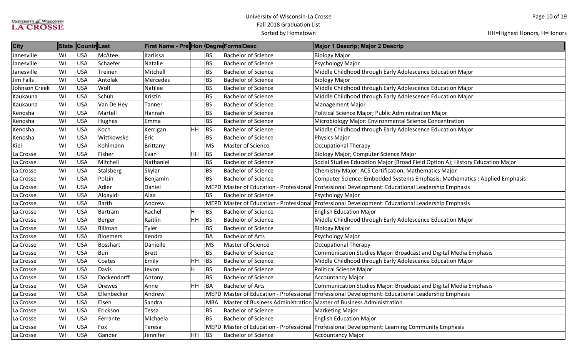| <b>City</b>      |    | State Countr Last |                 | First Name - Pre Hon Degre FormalDesc |           |            |                                                                     | Major 1 Descrip; Major 2 Descrip                                                                  |
|------------------|----|-------------------|-----------------|---------------------------------------|-----------|------------|---------------------------------------------------------------------|---------------------------------------------------------------------------------------------------|
| Janesville       | WI | <b>USA</b>        | McAtee          | Karlissa                              |           | <b>BS</b>  | <b>Bachelor of Science</b>                                          | <b>Biology Major</b>                                                                              |
| Janesville       | WI | <b>USA</b>        | Schaefer        | Natalie                               |           | <b>BS</b>  | <b>Bachelor of Science</b>                                          | Psychology Major                                                                                  |
| Janesville       | WI | USA               | Treinen         | Mitchell                              |           | <b>BS</b>  | <b>Bachelor of Science</b>                                          | Middle Childhood through Early Adolescence Education Major                                        |
| <b>Jim Falls</b> | WI | <b>USA</b>        | Antolak         | Mercedes                              |           | <b>BS</b>  | <b>Bachelor of Science</b>                                          | <b>Biology Major</b>                                                                              |
| Johnson Creek    | WI | <b>USA</b>        | Wolf            | <b>Natilee</b>                        |           | <b>BS</b>  | <b>Bachelor of Science</b>                                          | Middle Childhood through Early Adolescence Education Major                                        |
| Kaukauna         | WI | <b>USA</b>        | Schuh           | Kristin                               |           | <b>BS</b>  | <b>Bachelor of Science</b>                                          | Middle Childhood through Early Adolescence Education Major                                        |
| Kaukauna         | WI | <b>USA</b>        | Van De Hey      | Tanner                                |           | <b>BS</b>  | <b>Bachelor of Science</b>                                          | <b>Management Major</b>                                                                           |
| Kenosha          | WI | <b>USA</b>        | Martell         | Hannah                                |           | <b>BS</b>  | <b>Bachelor of Science</b>                                          | Political Science Major; Public Administration Major                                              |
| Kenosha          | WI | <b>USA</b>        | Hughes          | Emma                                  |           | <b>BS</b>  | <b>Bachelor of Science</b>                                          | Microbiology Major: Environmental Science Concentration                                           |
| Kenosha          | WI | <b>USA</b>        | Koch            | Kerrigan                              | <b>HH</b> | BS         | <b>Bachelor of Science</b>                                          | Middle Childhood through Early Adolescence Education Major                                        |
| Kenosha          | WI | <b>USA</b>        | Wittkowske      | Eric                                  |           | <b>BS</b>  | <b>Bachelor of Science</b>                                          | <b>Physics Major</b>                                                                              |
| Kiel             | WI | <b>USA</b>        | Kohlmann        | Brittany                              |           | <b>MS</b>  | Master of Science                                                   | Occupational Therapy                                                                              |
| La Crosse        | WI | <b>USA</b>        | Fisher          | Evan                                  | HH        | BS         | <b>Bachelor of Science</b>                                          | Biology Major; Computer Science Major                                                             |
| La Crosse        | WI | <b>USA</b>        | Mitchell        | Nathaniel                             |           | <b>BS</b>  | <b>Bachelor of Science</b>                                          | Social Studies Education Major (Broad Field Option A); History Education Major                    |
| La Crosse        | WI | <b>USA</b>        | Stalsberg       | Skylar                                |           | <b>BS</b>  | <b>Bachelor of Science</b>                                          | <b>Chemistry Major: ACS Certification; Mathematics Major</b>                                      |
| La Crosse        | WI | <b>USA</b>        | Polzin          | Benjamin                              |           | <b>BS</b>  | <b>Bachelor of Science</b>                                          | Computer Science: Embedded Systems Emphasis; Mathematics : Applied Emphasis                       |
| La Crosse        | WI | <b>USA</b>        | Adler           | Daniel                                |           |            | MEPD Master of Education - Professional                             | Professional Development: Educational Leadership Emphasis                                         |
| La Crosse        | WI | <b>USA</b>        | Alqayidi        | Alaa                                  |           | <b>BS</b>  | <b>Bachelor of Science</b>                                          | Psychology Major                                                                                  |
| La Crosse        | WI | <b>USA</b>        | Barth           | Andrew                                |           |            |                                                                     | MEPD Master of Education - Professional Professional Development: Educational Leadership Emphasis |
| La Crosse        | WI | <b>USA</b>        | Bartram         | Rachel                                | H         | <b>BS</b>  | <b>Bachelor of Science</b>                                          | <b>English Education Major</b>                                                                    |
| La Crosse        | WI | <b>USA</b>        | Berger          | Kaitlin                               | HH        | BS         | <b>Bachelor of Science</b>                                          | Middle Childhood through Early Adolescence Education Major                                        |
| La Crosse        | WI | <b>USA</b>        | Billman         | Tyler                                 |           | <b>BS</b>  | <b>Bachelor of Science</b>                                          | <b>Biology Major</b>                                                                              |
| La Crosse        | WI | <b>USA</b>        | Bloemers        | Kendra                                |           | <b>BA</b>  | <b>Bachelor of Arts</b>                                             | Psychology Major                                                                                  |
| La Crosse        | WI | <b>USA</b>        | <b>Bosshart</b> | Danielle                              |           | <b>MS</b>  | Master of Science                                                   | <b>Occupational Therapy</b>                                                                       |
| La Crosse        | WI | <b>USA</b>        | Buri            | <b>Brett</b>                          |           | <b>BS</b>  | <b>Bachelor of Science</b>                                          | Communication Studies Major: Broadcast and Digital Media Emphasis                                 |
| La Crosse        | WI | <b>USA</b>        | Coates          | Emily                                 | HH        | BS         | <b>Bachelor of Science</b>                                          | Middle Childhood through Early Adolescence Education Major                                        |
| La Crosse        | WI | <b>USA</b>        | Davis           | Jevon                                 | H         | BS         | <b>Bachelor of Science</b>                                          | Political Science Major                                                                           |
| La Crosse        | WI | <b>USA</b>        | Dockendorff     | Antony                                |           | BS         | <b>Bachelor of Science</b>                                          | <b>Accountancy Major</b>                                                                          |
| La Crosse        | WI | <b>USA</b>        | Drewes          | Anne                                  | <b>HH</b> | <b>BA</b>  | <b>Bachelor of Arts</b>                                             | Communication Studies Major: Broadcast and Digital Media Emphasis                                 |
| La Crosse        | WI | <b>USA</b>        | Ellenbecker     | Andrew                                |           |            |                                                                     | MEPD Master of Education - Professional Professional Development: Educational Leadership Emphasis |
| La Crosse        | WI | <b>USA</b>        | Elsen           | Sandra                                |           | <b>MBA</b> | Master of Business Administration Master of Business Administration |                                                                                                   |
| La Crosse        | WI | <b>USA</b>        | Erickson        | Tessa                                 |           | <b>BS</b>  | <b>Bachelor of Science</b>                                          | <b>Marketing Major</b>                                                                            |
| La Crosse        | WI | <b>USA</b>        | Ferrante        | Michaela                              |           | <b>BS</b>  | <b>Bachelor of Science</b>                                          | <b>English Education Major</b>                                                                    |
| La Crosse        | WI | <b>USA</b>        | Fox             | Teresa                                |           |            |                                                                     | MEPD Master of Education - Professional Professional Development: Learning Community Emphasis     |
| La Crosse        | WI | USA               | Gander          | Jennifer                              | HH        | <b>BS</b>  | <b>Bachelor of Science</b>                                          | Accountancy Major                                                                                 |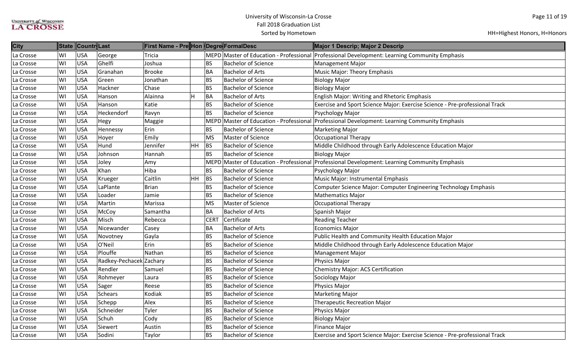| <b>City</b> |    | State Countr Last |                         | First Name - Pre Hon Degre FormalDesc |                         |             |                            | Major 1 Descrip; Major 2 Descrip                                                              |
|-------------|----|-------------------|-------------------------|---------------------------------------|-------------------------|-------------|----------------------------|-----------------------------------------------------------------------------------------------|
| La Crosse   | WI | <b>USA</b>        | George                  | Tricia                                |                         |             |                            | MEPD Master of Education - Professional Professional Development: Learning Community Emphasis |
| La Crosse   | WI | <b>USA</b>        | Ghelfi                  | Joshua                                |                         | <b>BS</b>   | <b>Bachelor of Science</b> | Management Major                                                                              |
| La Crosse   | WI | <b>USA</b>        | Granahan                | <b>Brooke</b>                         |                         | <b>BA</b>   | <b>Bachelor of Arts</b>    | Music Major: Theory Emphasis                                                                  |
| La Crosse   | WI | <b>USA</b>        | Green                   | Jonathan                              |                         | <b>BS</b>   | <b>Bachelor of Science</b> | <b>Biology Major</b>                                                                          |
| La Crosse   | WI | <b>USA</b>        | Hackner                 | Chase                                 |                         | <b>BS</b>   | <b>Bachelor of Science</b> | <b>Biology Major</b>                                                                          |
| La Crosse   | WI | <b>USA</b>        | Hanson                  | Alainna                               | $\overline{\mathsf{H}}$ | BA          | <b>Bachelor of Arts</b>    | English Major: Writing and Rhetoric Emphasis                                                  |
| La Crosse   | WI | <b>USA</b>        | Hanson                  | Katie                                 |                         | <b>BS</b>   | <b>Bachelor of Science</b> | Exercise and Sport Science Major: Exercise Science - Pre-professional Track                   |
| La Crosse   | WI | <b>USA</b>        | Heckendorf              | Ravyn                                 |                         | <b>BS</b>   | <b>Bachelor of Science</b> | Psychology Major                                                                              |
| La Crosse   | WI | <b>USA</b>        | Hegy                    | Maggie                                |                         |             |                            | MEPD Master of Education - Professional Professional Development: Learning Community Emphasis |
| La Crosse   | WI | <b>USA</b>        | Hennessy                | Erin                                  |                         | <b>BS</b>   | <b>Bachelor of Science</b> | <b>Marketing Major</b>                                                                        |
| La Crosse   | WI | <b>USA</b>        | Hoyer                   | Emily                                 |                         | <b>MS</b>   | Master of Science          | Occupational Therapy                                                                          |
| La Crosse   | WI | USA               | Hund                    | Jennifer                              | <b>HH</b>               | <b>BS</b>   | <b>Bachelor of Science</b> | Middle Childhood through Early Adolescence Education Major                                    |
| La Crosse   | WI | <b>USA</b>        | Johnson                 | Hannah                                |                         | <b>BS</b>   | <b>Bachelor of Science</b> | <b>Biology Major</b>                                                                          |
| La Crosse   | WI | <b>USA</b>        | Joley                   | Amy                                   |                         | MEPD        |                            | Master of Education - Professional Professional Development: Learning Community Emphasis      |
| La Crosse   | WI | <b>USA</b>        | Khan                    | Hiba                                  |                         | <b>BS</b>   | <b>Bachelor of Science</b> | Psychology Major                                                                              |
| La Crosse   | WI | <b>USA</b>        | Krueger                 | Caitlin                               | <b>HH</b>               | BS          | <b>Bachelor of Science</b> | Music Major: Instrumental Emphasis                                                            |
| La Crosse   | WI | <b>USA</b>        | LaPlante                | Brian                                 |                         | <b>BS</b>   | <b>Bachelor of Science</b> | Computer Science Major: Computer Engineering Technology Emphasis                              |
| La Crosse   | WI | <b>USA</b>        | Loader                  | Jamie                                 |                         | <b>BS</b>   | <b>Bachelor of Science</b> | <b>Mathematics Major</b>                                                                      |
| La Crosse   | WI | <b>USA</b>        | Martin                  | Marissa                               |                         | <b>MS</b>   | Master of Science          | <b>Occupational Therapy</b>                                                                   |
| La Crosse   | WI | <b>USA</b>        | McCoy                   | Samantha                              |                         | <b>BA</b>   | <b>Bachelor of Arts</b>    | Spanish Major                                                                                 |
| La Crosse   | WI | <b>USA</b>        | Misch                   | Rebecca                               |                         | <b>CERT</b> | Certificate                | <b>Reading Teacher</b>                                                                        |
| La Crosse   | WI | <b>USA</b>        | Nicewander              | Casey                                 |                         | <b>BA</b>   | <b>Bachelor of Arts</b>    | <b>Economics Major</b>                                                                        |
| La Crosse   | WI | <b>USA</b>        | Novotney                | Gayla                                 |                         | <b>BS</b>   | <b>Bachelor of Science</b> | Public Health and Community Health Education Major                                            |
| La Crosse   | WI | USA               | O'Neil                  | Erin                                  |                         | <b>BS</b>   | <b>Bachelor of Science</b> | Middle Childhood through Early Adolescence Education Major                                    |
| La Crosse   | WI | <b>USA</b>        | Plouffe                 | Nathan                                |                         | <b>BS</b>   | <b>Bachelor of Science</b> | <b>Management Major</b>                                                                       |
| La Crosse   | WI | <b>USA</b>        | Radkey-Pechacek Zachary |                                       |                         | <b>BS</b>   | <b>Bachelor of Science</b> | Physics Major                                                                                 |
| La Crosse   | WI | <b>USA</b>        | Rendler                 | Samuel                                |                         | <b>BS</b>   | <b>Bachelor of Science</b> | <b>Chemistry Major: ACS Certification</b>                                                     |
| La Crosse   | WI | <b>USA</b>        | Rohmeyer                | Laura                                 |                         | <b>BS</b>   | <b>Bachelor of Science</b> | Sociology Major                                                                               |
| La Crosse   | WI | <b>USA</b>        | Sager                   | Reese                                 |                         | <b>BS</b>   | <b>Bachelor of Science</b> | Physics Major                                                                                 |
| La Crosse   | WI | <b>USA</b>        | Schears                 | Kodiak                                |                         | <b>BS</b>   | <b>Bachelor of Science</b> | <b>Marketing Major</b>                                                                        |
| La Crosse   | WI | <b>USA</b>        | Schepp                  | Alex                                  |                         | <b>BS</b>   | <b>Bachelor of Science</b> | <b>Therapeutic Recreation Major</b>                                                           |
| La Crosse   | WI | <b>USA</b>        | Schneider               | Tyler                                 |                         | <b>BS</b>   | <b>Bachelor of Science</b> | Physics Major                                                                                 |
| La Crosse   | WI | <b>USA</b>        | Schuh                   | Cody                                  |                         | <b>BS</b>   | <b>Bachelor of Science</b> | <b>Biology Major</b>                                                                          |
| La Crosse   | WI | <b>USA</b>        | Siewert                 | Austin                                |                         | <b>BS</b>   | <b>Bachelor of Science</b> | <b>Finance Major</b>                                                                          |
| La Crosse   | WI | <b>USA</b>        | Sodini                  | Taylor                                |                         | <b>BS</b>   | <b>Bachelor of Science</b> | Exercise and Sport Science Major: Exercise Science - Pre-professional Track                   |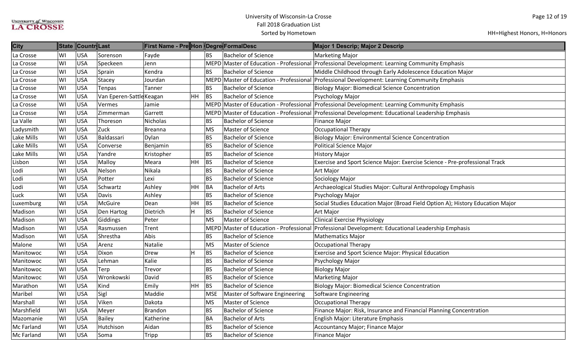| <b>City</b>       | <b>State</b> | ∥Countr∥Last |                          | First Name - Pre∥Hon ∥Degre∥FormalDesc |                |             |                                | Major 1 Descrip; Major 2 Descrip                                                                  |
|-------------------|--------------|--------------|--------------------------|----------------------------------------|----------------|-------------|--------------------------------|---------------------------------------------------------------------------------------------------|
| La Crosse         | WI           | <b>USA</b>   | Sorenson                 | Fayde                                  |                | <b>BS</b>   | <b>Bachelor of Science</b>     | <b>Marketing Major</b>                                                                            |
| La Crosse         | WI           | <b>USA</b>   | Speckeen                 | Jenn                                   |                |             |                                | MEPD Master of Education - Professional Professional Development: Learning Community Emphasis     |
| La Crosse         | WI           | <b>USA</b>   | Sprain                   | Kendra                                 |                | <b>BS</b>   | <b>Bachelor of Science</b>     | Middle Childhood through Early Adolescence Education Major                                        |
| La Crosse         | WI           | <b>USA</b>   | Stacey                   | Jourdan                                |                |             |                                | MEPD Master of Education - Professional Professional Development: Learning Community Emphasis     |
| La Crosse         | WI           | <b>USA</b>   | Tenpas                   | Tanner                                 |                | <b>BS</b>   | <b>Bachelor of Science</b>     | <b>Biology Major: Biomedical Science Concentration</b>                                            |
| La Crosse         | WI           | <b>USA</b>   | Van Eperen-Sattle Keagan |                                        | <b>HH</b>      | <b>BS</b>   | <b>Bachelor of Science</b>     | Psychology Major                                                                                  |
| La Crosse         | WI           | <b>USA</b>   | Vermes                   | Jamie                                  |                |             |                                | MEPD Master of Education - Professional Professional Development: Learning Community Emphasis     |
| La Crosse         | WI           | <b>USA</b>   | Zimmerman                | Garrett                                |                |             |                                | MEPD Master of Education - Professional Professional Development: Educational Leadership Emphasis |
| La Valle          | WI           | <b>USA</b>   | Thoreson                 | Nicholas                               |                | <b>BS</b>   | <b>Bachelor of Science</b>     | <b>Finance Major</b>                                                                              |
| Ladysmith         | WI           | <b>USA</b>   | Zuck                     | Breanna                                |                | <b>MS</b>   | Master of Science              | <b>Occupational Therapy</b>                                                                       |
| Lake Mills        | WI           | <b>USA</b>   | Baldassari               | Dylan                                  |                | <b>BS</b>   | <b>Bachelor of Science</b>     | <b>Biology Major: Environmental Science Concentration</b>                                         |
| Lake Mills        | WI           | <b>USA</b>   | Converse                 | Benjamin                               |                | <b>BS</b>   | <b>Bachelor of Science</b>     | <b>Political Science Major</b>                                                                    |
| Lake Mills        | WI           | <b>USA</b>   | Yandre                   | Kristopher                             |                | <b>BS</b>   | <b>Bachelor of Science</b>     | <b>History Major</b>                                                                              |
| Lisbon            | WI           | <b>USA</b>   | Malloy                   | Meara                                  | <b>HH</b>      | BS          | <b>Bachelor of Science</b>     | Exercise and Sport Science Major: Exercise Science - Pre-professional Track                       |
| Lodi              | WI           | <b>USA</b>   | Nelson                   | Nikala                                 |                | <b>BS</b>   | <b>Bachelor of Science</b>     | Art Major                                                                                         |
| Lodi              | WI           | <b>USA</b>   | Potter                   | Lexi                                   |                | <b>BS</b>   | <b>Bachelor of Science</b>     | Sociology Major                                                                                   |
| Lodi              | WI           | <b>USA</b>   | Schwartz                 | Ashley                                 | HH             | BA          | <b>Bachelor of Arts</b>        | Archaeological Studies Major: Cultural Anthropology Emphasis                                      |
| Luck              | WI           | <b>USA</b>   | Davis                    | Ashley                                 |                | <b>BS</b>   | <b>Bachelor of Science</b>     | Psychology Major                                                                                  |
| Luxemburg         | WI           | <b>USA</b>   | McGuire                  | Dean                                   | <b>HH</b>      | BS          | <b>Bachelor of Science</b>     | Social Studies Education Major (Broad Field Option A); History Education Major                    |
| Madison           | WI           | <b>USA</b>   | Den Hartog               | Dietrich                               | H              | BS          | <b>Bachelor of Science</b>     | <b>Art Major</b>                                                                                  |
| Madison           | WI           | <b>USA</b>   | Giddings                 | Peter                                  |                | <b>MS</b>   | Master of Science              | <b>Clinical Exercise Physiology</b>                                                               |
| Madison           | WI           | <b>USA</b>   | Rasmussen                | Trent                                  |                | <b>MEPD</b> |                                | Master of Education - Professional Professional Development: Educational Leadership Emphasis      |
| Madison           | WI           | <b>USA</b>   | Shrestha                 | Abis                                   |                | <b>BS</b>   | <b>Bachelor of Science</b>     | <b>Mathematics Major</b>                                                                          |
| Malone            | WI           | <b>USA</b>   | Arenz                    | Natalie                                |                | MS          | Master of Science              | Occupational Therapy                                                                              |
| Manitowoc         | WI           | <b>USA</b>   | Dixon                    | Drew                                   | $\overline{H}$ | BS          | <b>Bachelor of Science</b>     | Exercise and Sport Science Major: Physical Education                                              |
| Manitowoc         | WI           | <b>USA</b>   | Lehman                   | Kalie                                  |                | <b>BS</b>   | <b>Bachelor of Science</b>     | Psychology Major                                                                                  |
| Manitowoc         | WI           | <b>USA</b>   | Terp                     | Trevor                                 |                | <b>BS</b>   | <b>Bachelor of Science</b>     | <b>Biology Major</b>                                                                              |
| Manitowoc         | WI           | <b>USA</b>   | Wronkowski               | David                                  |                | <b>BS</b>   | <b>Bachelor of Science</b>     | <b>Marketing Major</b>                                                                            |
| Marathon          | WI           | <b>USA</b>   | Kind                     | Emily                                  | <b>HH</b>      | <b>BS</b>   | <b>Bachelor of Science</b>     | <b>Biology Major: Biomedical Science Concentration</b>                                            |
| Maribel           | WI           | <b>USA</b>   | Sigl                     | Maddie                                 |                | <b>MSE</b>  | Master of Software Engineering | Software Engineering                                                                              |
| Marshall          | WI           | <b>USA</b>   | Viken                    | Dakota                                 |                | <b>MS</b>   | Master of Science              | <b>Occupational Therapy</b>                                                                       |
| Marshfield        | WI           | <b>USA</b>   | Meyer                    | Brandon                                |                | <b>BS</b>   | <b>Bachelor of Science</b>     | Finance Major: Risk, Insurance and Financial Planning Concentration                               |
| Mazomanie         | WI           | <b>USA</b>   | Bailey                   | Katherine                              |                | <b>BA</b>   | <b>Bachelor of Arts</b>        | English Major: Literature Emphasis                                                                |
| Mc Farland        | WI           | <b>USA</b>   | Hutchison                | Aidan                                  |                | <b>BS</b>   | <b>Bachelor of Science</b>     | Accountancy Major; Finance Major                                                                  |
| <b>Mc Farland</b> | WI           | <b>USA</b>   | Soma                     | Tripp                                  |                | <b>BS</b>   | <b>Bachelor of Science</b>     | Finance Major                                                                                     |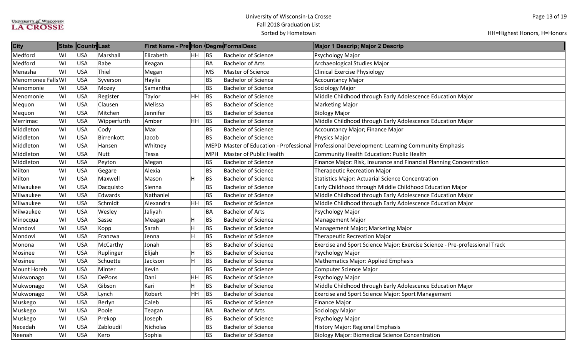| <b>City</b>        | <b>State</b> | Countr Last |               | First Name - Pre Hon Degre FormalDesc |    |            |                                         | Major 1 Descrip; Major 2 Descrip                                            |
|--------------------|--------------|-------------|---------------|---------------------------------------|----|------------|-----------------------------------------|-----------------------------------------------------------------------------|
| Medford            | WI           | <b>USA</b>  | Marshall      | Elizabeth                             | HH | <b>BS</b>  | <b>Bachelor of Science</b>              | Psychology Major                                                            |
| Medford            | WI           | <b>USA</b>  | Rabe          | Keagan                                |    | BA         | Bachelor of Arts                        | Archaeological Studies Major                                                |
| Menasha            | WI           | <b>USA</b>  | Thiel         | Megan                                 |    | <b>MS</b>  | <b>Master of Science</b>                | <b>Clinical Exercise Physiology</b>                                         |
| Menomonee Falls WI |              | <b>USA</b>  | Syverson      | Haylie                                |    | BS         | <b>Bachelor of Science</b>              | <b>Accountancy Major</b>                                                    |
| Menomonie          | WI           | <b>USA</b>  | Mozey         | Samantha                              |    | <b>BS</b>  | <b>Bachelor of Science</b>              | Sociology Major                                                             |
| Menomonie          | WI           | <b>USA</b>  | Register      | Taylor                                | HH | BS         | <b>Bachelor of Science</b>              | Middle Childhood through Early Adolescence Education Major                  |
| Mequon             | WI           | <b>USA</b>  | Clausen       | Melissa                               |    | <b>BS</b>  | <b>Bachelor of Science</b>              | <b>Marketing Major</b>                                                      |
| Mequon             | WI           | <b>USA</b>  | Mitchen       | Jennifer                              |    | <b>BS</b>  | <b>Bachelor of Science</b>              | <b>Biology Major</b>                                                        |
| Merrimac           | WI           | <b>USA</b>  | Wipperfurth   | Amber                                 | HH | BS         | <b>Bachelor of Science</b>              | Middle Childhood through Early Adolescence Education Major                  |
| Middleton          | WI           | <b>USA</b>  | Cody          | Max                                   |    | <b>BS</b>  | <b>Bachelor of Science</b>              | Accountancy Major; Finance Major                                            |
| Middleton          | WI           | <b>USA</b>  | Birrenkott    | Jacob                                 |    | <b>BS</b>  | <b>Bachelor of Science</b>              | Physics Major                                                               |
| Middleton          | WI           | <b>USA</b>  | Hansen        | Whitney                               |    |            | MEPD Master of Education - Professional | Professional Development: Learning Community Emphasis                       |
| Middleton          | WI           | <b>USA</b>  | <b>Nutt</b>   | Tessa                                 |    | <b>MPH</b> | <b>Master of Public Health</b>          | Community Health Education: Public Health                                   |
| Middleton          | WI           | <b>USA</b>  | Peyton        | Megan                                 |    | <b>BS</b>  | <b>Bachelor of Science</b>              | Finance Major: Risk, Insurance and Financial Planning Concentration         |
| Milton             | WI           | <b>USA</b>  | Gegare        | Alexia                                |    | <b>BS</b>  | <b>Bachelor of Science</b>              | <b>Therapeutic Recreation Major</b>                                         |
| Milton             | WI           | <b>USA</b>  | Maxwell       | Mason                                 | Н  | <b>BS</b>  | <b>Bachelor of Science</b>              | <b>Statistics Major: Actuarial Science Concentration</b>                    |
| Milwaukee          | WI           | <b>USA</b>  | Dacquisto     | Sienna                                |    | <b>BS</b>  | <b>Bachelor of Science</b>              | Early Childhood through Middle Childhood Education Major                    |
| Milwaukee          | WI           | <b>USA</b>  | Edwards       | Nathaniel                             |    | <b>BS</b>  | <b>Bachelor of Science</b>              | Middle Childhood through Early Adolescence Education Major                  |
| Milwaukee          | WI           | <b>USA</b>  | Schmidt       | Alexandra                             | HH | BS         | <b>Bachelor of Science</b>              | Middle Childhood through Early Adolescence Education Major                  |
| Milwaukee          | WI           | <b>USA</b>  | Wesley        | Jaliyah                               |    | <b>BA</b>  | <b>Bachelor of Arts</b>                 | Psychology Major                                                            |
| Minocqua           | WI           | <b>USA</b>  | Sasse         | Meagan                                | Η  | <b>BS</b>  | <b>Bachelor of Science</b>              | <b>Management Major</b>                                                     |
| Mondovi            | WI           | <b>USA</b>  | Kopp          | Sarah                                 | Н  | <b>BS</b>  | <b>Bachelor of Science</b>              | Management Major; Marketing Major                                           |
| Mondovi            | WI           | <b>USA</b>  | Franzwa       | Jenna                                 | н  | <b>BS</b>  | <b>Bachelor of Science</b>              | <b>Therapeutic Recreation Major</b>                                         |
| Monona             | WI           | <b>USA</b>  | McCarthy      | Jonah                                 |    | <b>BS</b>  | <b>Bachelor of Science</b>              | Exercise and Sport Science Major: Exercise Science - Pre-professional Track |
| Mosinee            | WI           | <b>USA</b>  | Ruplinger     | Elijah                                | н  | <b>BS</b>  | <b>Bachelor of Science</b>              | Psychology Major                                                            |
| Mosinee            | WI           | <b>USA</b>  | Schuette      | Jackson                               | H  | <b>BS</b>  | <b>Bachelor of Science</b>              | <b>Mathematics Major: Applied Emphasis</b>                                  |
| <b>Mount Horeb</b> | WI           | <b>USA</b>  | Minter        | Kevin                                 |    | <b>BS</b>  | <b>Bachelor of Science</b>              | <b>Computer Science Major</b>                                               |
| Mukwonago          | WI           | <b>USA</b>  | <b>DePons</b> | Dani                                  | HH | <b>BS</b>  | <b>Bachelor of Science</b>              | Psychology Major                                                            |
| Mukwonago          | WI           | <b>USA</b>  | Gibson        | Kari                                  | Н  | <b>BS</b>  | <b>Bachelor of Science</b>              | Middle Childhood through Early Adolescence Education Major                  |
| Mukwonago          | WI           | <b>USA</b>  | Lynch         | Robert                                | HH | <b>BS</b>  | <b>Bachelor of Science</b>              | Exercise and Sport Science Major: Sport Management                          |
| Muskego            | WI           | <b>USA</b>  | Berlyn        | Caleb                                 |    | <b>BS</b>  | <b>Bachelor of Science</b>              | <b>Finance Major</b>                                                        |
| Muskego            | WI           | <b>USA</b>  | Poole         | Teagan                                |    | BA         | <b>Bachelor of Arts</b>                 | Sociology Major                                                             |
| Muskego            | WI           | <b>USA</b>  | Prekop        | Joseph                                |    | <b>BS</b>  | <b>Bachelor of Science</b>              | Psychology Major                                                            |
| Necedah            | WI           | <b>USA</b>  | Zabloudil     | Nicholas                              |    | BS         | <b>Bachelor of Science</b>              | History Major: Regional Emphasis                                            |
| Neenah             | WI           | <b>USA</b>  | Kero          | Sophia                                |    | <b>BS</b>  | <b>Bachelor of Science</b>              | <b>Biology Major: Biomedical Science Concentration</b>                      |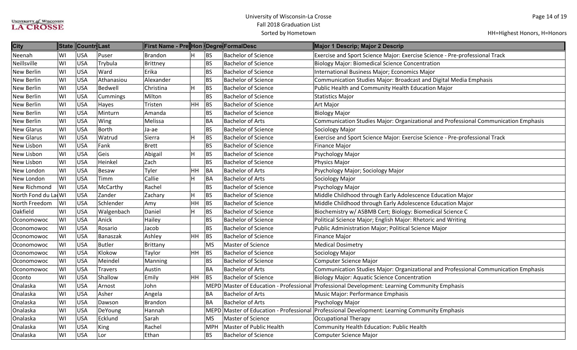| <b>City</b>         |    | State Countr Last |                | First Name - Pre Hon  Degre FormalDesc |                         |            |                            | Major 1 Descrip; Major 2 Descrip                                                              |
|---------------------|----|-------------------|----------------|----------------------------------------|-------------------------|------------|----------------------------|-----------------------------------------------------------------------------------------------|
| Neenah              | WI | <b>USA</b>        | Puser          | <b>Brandon</b>                         | H                       | <b>BS</b>  | <b>Bachelor of Science</b> | Exercise and Sport Science Major: Exercise Science - Pre-professional Track                   |
| Neillsville         | WI | <b>USA</b>        | Trybula        | Brittney                               |                         | <b>BS</b>  | <b>Bachelor of Science</b> | <b>Biology Major: Biomedical Science Concentration</b>                                        |
| <b>New Berlin</b>   | WI | <b>USA</b>        | Ward           | Erika                                  |                         | <b>BS</b>  | <b>Bachelor of Science</b> | International Business Major; Economics Major                                                 |
| <b>New Berlin</b>   | WI | <b>USA</b>        | Athanasiou     | Alexander                              |                         | <b>BS</b>  | <b>Bachelor of Science</b> | Communication Studies Major: Broadcast and Digital Media Emphasis                             |
| <b>New Berlin</b>   | WI | <b>USA</b>        | <b>Bedwell</b> | Christina                              | $\overline{H}$          | <b>BS</b>  | <b>Bachelor of Science</b> | Public Health and Community Health Education Major                                            |
| <b>New Berlin</b>   | WI | <b>USA</b>        | Cummings       | Milton                                 |                         | <b>BS</b>  | <b>Bachelor of Science</b> | <b>Statistics Major</b>                                                                       |
| New Berlin          | WI | <b>USA</b>        | Hayes          | Tristen                                | <b>HH</b>               | BS         | <b>Bachelor of Science</b> | <b>Art Major</b>                                                                              |
| <b>New Berlin</b>   | WI | <b>USA</b>        | Minturn        | Amanda                                 |                         | <b>BS</b>  | <b>Bachelor of Science</b> | <b>Biology Major</b>                                                                          |
| <b>New Berlin</b>   | WI | <b>USA</b>        | Wing           | Melissa                                |                         | <b>BA</b>  | <b>Bachelor of Arts</b>    | Communication Studies Major: Organizational and Professional Communication Emphasis           |
| <b>New Glarus</b>   | WI | <b>USA</b>        | <b>Borth</b>   | Ja-ae                                  |                         | <b>BS</b>  | <b>Bachelor of Science</b> | Sociology Major                                                                               |
| <b>New Glarus</b>   | WI | <b>USA</b>        | Watrud         | Sierra                                 | $\overline{\mathsf{H}}$ | <b>BS</b>  | <b>Bachelor of Science</b> | Exercise and Sport Science Major: Exercise Science - Pre-professional Track                   |
| <b>New Lisbon</b>   | WI | <b>USA</b>        | Fank           | <b>Brett</b>                           |                         | <b>BS</b>  | <b>Bachelor of Science</b> | <b>Finance Major</b>                                                                          |
| New Lisbon          | WI | <b>USA</b>        | Geis           | Abigail                                | $\overline{H}$          | <b>BS</b>  | <b>Bachelor of Science</b> | Psychology Major                                                                              |
| New Lisbon          | WI | <b>USA</b>        | Heinkel        | Zach                                   |                         | <b>BS</b>  | <b>Bachelor of Science</b> | Physics Major                                                                                 |
| New London          | WI | <b>USA</b>        | <b>Besaw</b>   | Tyler                                  | HH                      | BA         | <b>Bachelor of Arts</b>    | Psychology Major; Sociology Major                                                             |
| New London          | WI | <b>USA</b>        | Timm           | Callie                                 | $\overline{\mathsf{H}}$ | <b>BA</b>  | <b>Bachelor of Arts</b>    | Sociology Major                                                                               |
| <b>New Richmond</b> | WI | <b>USA</b>        | McCarthy       | Rachel                                 |                         | <b>BS</b>  | <b>Bachelor of Science</b> | Psychology Major                                                                              |
| North Fond du La WI |    | <b>USA</b>        | Zander         | Zachary                                | H                       | <b>BS</b>  | <b>Bachelor of Science</b> | Middle Childhood through Early Adolescence Education Major                                    |
| North Freedom       | WI | <b>USA</b>        | Schlender      | Amy                                    | HH                      | <b>BS</b>  | <b>Bachelor of Science</b> | Middle Childhood through Early Adolescence Education Major                                    |
| Oakfield            | WI | <b>USA</b>        | Walgenbach     | Daniel                                 | $\overline{\mathsf{H}}$ | <b>BS</b>  | <b>Bachelor of Science</b> | Biochemistry w/ ASBMB Cert; Biology: Biomedical Science C                                     |
| Oconomowoc          | WI | <b>USA</b>        | Anick          | Hailey                                 |                         | <b>BS</b>  | <b>Bachelor of Science</b> | Political Science Major; English Major: Rhetoric and Writing                                  |
| Oconomowoc          | WI | <b>USA</b>        | Rosario        | Jacob                                  |                         | <b>BS</b>  | <b>Bachelor of Science</b> | Public Administration Major; Political Science Major                                          |
| Oconomowoc          | WI | <b>USA</b>        | Banaszak       | Ashley                                 | <b>HH</b>               | BS         | <b>Bachelor of Science</b> | <b>Finance Major</b>                                                                          |
| Oconomowoc          | WI | <b>USA</b>        | <b>Butler</b>  | Brittany                               |                         | <b>MS</b>  | <b>Master of Science</b>   | <b>Medical Dosimetry</b>                                                                      |
| Oconomowoc          | WI | <b>USA</b>        | Klokow         | Taylor                                 | <b>HH</b>               | BS         | <b>Bachelor of Science</b> | Sociology Major                                                                               |
| Oconomowoc          | WI | <b>USA</b>        | Meindel        | Manning                                |                         | <b>BS</b>  | <b>Bachelor of Science</b> | <b>Computer Science Major</b>                                                                 |
| Oconomowoc          | WI | <b>USA</b>        | <b>Travers</b> | Austin                                 |                         | <b>BA</b>  | <b>Bachelor of Arts</b>    | Communication Studies Major: Organizational and Professional Communication Emphasis           |
| Oconto              | WI | <b>USA</b>        | Shallow        | Emily                                  | HH                      | <b>BS</b>  | <b>Bachelor of Science</b> | <b>Biology Major: Aquatic Science Concentration</b>                                           |
| <b>Onalaska</b>     | WI | <b>USA</b>        | Arnost         | John                                   |                         |            |                            | MEPD Master of Education - Professional Professional Development: Learning Community Emphasis |
| Onalaska            | WI | <b>USA</b>        | Asher          | Angela                                 |                         | <b>BA</b>  | <b>Bachelor of Arts</b>    | Music Major: Performance Emphasis                                                             |
| Onalaska            | WI | <b>USA</b>        | Dawson         | <b>Brandon</b>                         |                         | BA         | <b>Bachelor of Arts</b>    | Psychology Major                                                                              |
| Onalaska            | WI | <b>USA</b>        | DeYoung        | Hannah                                 |                         |            |                            | MEPD Master of Education - Professional Professional Development: Learning Community Emphasis |
| Onalaska            | WI | <b>USA</b>        | Ecklund        | Sarah                                  |                         | <b>MS</b>  | Master of Science          | <b>Occupational Therapy</b>                                                                   |
| Onalaska            | WI | <b>USA</b>        | <b>King</b>    | Rachel                                 |                         | <b>MPH</b> | Master of Public Health    | <b>Community Health Education: Public Health</b>                                              |
| Onalaska            | WI | <b>USA</b>        | Lor            | Ethan                                  |                         | <b>BS</b>  | <b>Bachelor of Science</b> | <b>Computer Science Major</b>                                                                 |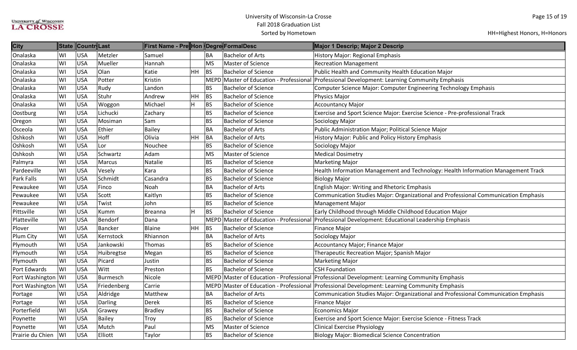| <b>City</b>          |    | State Countr Last |               | <b>First Name - Pre</b>  Hon  Degre FormalDesc |           |             |                            | Major 1 Descrip; Major 2 Descrip                                                                  |
|----------------------|----|-------------------|---------------|------------------------------------------------|-----------|-------------|----------------------------|---------------------------------------------------------------------------------------------------|
| Onalaska             | WI | <b>USA</b>        | Metzler       | Samuel                                         |           | <b>BA</b>   | <b>Bachelor of Arts</b>    | <b>History Major: Regional Emphasis</b>                                                           |
| Onalaska             | WI | USA               | Mueller       | Hannah                                         |           | <b>MS</b>   | Master of Science          | <b>Recreation Management</b>                                                                      |
| Onalaska             | WI | USA               | Olan          | Katie                                          | HH        | BS          | <b>Bachelor of Science</b> | Public Health and Community Health Education Major                                                |
| Onalaska             | WI | <b>USA</b>        | Potter        | Kristin                                        |           | <b>MEPD</b> |                            | Master of Education - Professional Professional Development: Learning Community Emphasis          |
| Onalaska             | WI | <b>USA</b>        | Rudy          | Landon                                         |           | <b>BS</b>   | <b>Bachelor of Science</b> | Computer Science Major: Computer Engineering Technology Emphasis                                  |
| Onalaska             | WI | <b>USA</b>        | Stuhr         | Andrew                                         | HH        | BS          | <b>Bachelor of Science</b> | Physics Major                                                                                     |
| Onalaska             | WI | <b>USA</b>        | Woggon        | Michael                                        | H         | <b>BS</b>   | <b>Bachelor of Science</b> | <b>Accountancy Major</b>                                                                          |
| Oostburg             | WI | <b>USA</b>        | Lichucki      | Zachary                                        |           | <b>BS</b>   | <b>Bachelor of Science</b> | Exercise and Sport Science Major: Exercise Science - Pre-professional Track                       |
| Oregon               | WI | USA               | Mosiman       | Sam                                            |           | <b>BS</b>   | <b>Bachelor of Science</b> | Sociology Major                                                                                   |
| Osceola              | WI | <b>USA</b>        | Ethier        | Bailey                                         |           | <b>BA</b>   | <b>Bachelor of Arts</b>    | Public Administration Major; Political Science Major                                              |
| Oshkosh              | WI | <b>USA</b>        | Hoff          | Olivia                                         | <b>HH</b> | BA          | <b>Bachelor of Arts</b>    | History Major: Public and Policy History Emphasis                                                 |
| Oshkosh              | WI | <b>USA</b>        | Lor           | Nouchee                                        |           | <b>BS</b>   | <b>Bachelor of Science</b> | Sociology Major                                                                                   |
| Oshkosh              | WI | <b>USA</b>        | Schwartz      | Adam                                           |           | <b>MS</b>   | <b>Master of Science</b>   | <b>Medical Dosimetry</b>                                                                          |
| Palmyra              | WI | <b>USA</b>        | Marcus        | Natalie                                        |           | <b>BS</b>   | <b>Bachelor of Science</b> | <b>Marketing Major</b>                                                                            |
| Pardeeville          | WI | <b>USA</b>        | Vesely        | Kara                                           |           | <b>BS</b>   | <b>Bachelor of Science</b> | Health Information Management and Technology: Health Information Management Track                 |
| <b>Park Falls</b>    | WI | USA               | Schmidt       | Casandra                                       |           | <b>BS</b>   | <b>Bachelor of Science</b> | <b>Biology Major</b>                                                                              |
| Pewaukee             | WI | <b>USA</b>        | Finco         | Noah                                           |           | <b>BA</b>   | <b>Bachelor of Arts</b>    | English Major: Writing and Rhetoric Emphasis                                                      |
| Pewaukee             | WI | <b>USA</b>        | Scott         | Kaitlyn                                        |           | <b>BS</b>   | <b>Bachelor of Science</b> | Communication Studies Major: Organizational and Professional Communication Emphasis               |
| Pewaukee             | WI | <b>USA</b>        | Twist         | John                                           |           | <b>BS</b>   | <b>Bachelor of Science</b> | Management Major                                                                                  |
| Pittsville           | WI | <b>USA</b>        | Kumm          | <b>Breanna</b>                                 | H         | <b>BS</b>   | <b>Bachelor of Science</b> | Early Childhood through Middle Childhood Education Major                                          |
| Platteville          | WI | <b>USA</b>        | Bendorf       | Dana                                           |           |             |                            | MEPD Master of Education - Professional Professional Development: Educational Leadership Emphasis |
| Plover               | WI | <b>USA</b>        | Bancker       | Blaine                                         | <b>HH</b> | BS          | <b>Bachelor of Science</b> | Finance Major                                                                                     |
| Plum City            | WI | <b>USA</b>        | Kernstock     | Rhiannon                                       |           | <b>BA</b>   | <b>Bachelor of Arts</b>    | Sociology Major                                                                                   |
| Plymouth             | WI | USA               | Jankowski     | Thomas                                         |           | <b>BS</b>   | <b>Bachelor of Science</b> | Accountancy Major; Finance Major                                                                  |
| Plymouth             | WI | USA               | Huibregtse    | Megan                                          |           | <b>BS</b>   | <b>Bachelor of Science</b> | Therapeutic Recreation Major; Spanish Major                                                       |
| Plymouth             | WI | USA               | Picard        | Justin                                         |           | <b>BS</b>   | <b>Bachelor of Science</b> | Marketing Major                                                                                   |
| Port Edwards         | WI | USA               | Witt          | Preston                                        |           | <b>BS</b>   | <b>Bachelor of Science</b> | <b>CSH Foundation</b>                                                                             |
| Port Washington WI   |    | <b>USA</b>        | Burmesch      | Nicole                                         |           |             |                            | MEPD Master of Education - Professional Professional Development: Learning Community Emphasis     |
| Port Washington   WI |    | <b>USA</b>        | Friedenberg   | Carrie                                         |           |             |                            | MEPD Master of Education - Professional Professional Development: Learning Community Emphasis     |
| Portage              | WI | <b>USA</b>        | Aldridge      | Matthew                                        |           | BA          | <b>Bachelor of Arts</b>    | Communication Studies Major: Organizational and Professional Communication Emphasis               |
| Portage              | WI | USA               | Darling       | Derek                                          |           | <b>BS</b>   | <b>Bachelor of Science</b> | Finance Major                                                                                     |
| Porterfield          | WI | <b>USA</b>        | Grawey        | <b>Bradley</b>                                 |           | <b>BS</b>   | <b>Bachelor of Science</b> | Economics Major                                                                                   |
| Poynette             | WI | <b>USA</b>        | <b>Bailey</b> | Troy                                           |           | <b>BS</b>   | <b>Bachelor of Science</b> | Exercise and Sport Science Major: Exercise Science - Fitness Track                                |
| Poynette             | WI | USA               | Mutch         | Paul                                           |           | <b>MS</b>   | Master of Science          | <b>Clinical Exercise Physiology</b>                                                               |
| Prairie du Chien     | WI | <b>USA</b>        | Elliott       | Taylor                                         |           | <b>BS</b>   | <b>Bachelor of Science</b> | <b>Biology Major: Biomedical Science Concentration</b>                                            |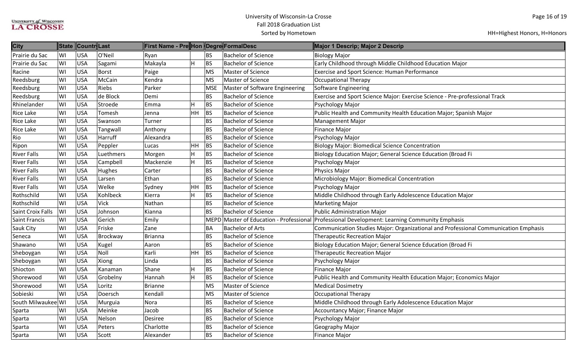| <b>City</b>              |     | State Countr Last |              | First Name - Pre Hon Degre FormalDesc |    |            |                                | Major 1 Descrip; Major 2 Descrip                                                              |
|--------------------------|-----|-------------------|--------------|---------------------------------------|----|------------|--------------------------------|-----------------------------------------------------------------------------------------------|
| Prairie du Sac           | WI  | <b>USA</b>        | O'Neil       | Ryan                                  |    | <b>BS</b>  | <b>Bachelor of Science</b>     | <b>Biology Major</b>                                                                          |
| Prairie du Sac           | WI  | <b>USA</b>        | Sagami       | Makayla                               | Η  | BS         | <b>Bachelor of Science</b>     | Early Childhood through Middle Childhood Education Major                                      |
| Racine                   | WI  | USA               | <b>Borst</b> | Paige                                 |    | <b>MS</b>  | Master of Science              | <b>Exercise and Sport Science: Human Performance</b>                                          |
| Reedsburg                | WI  | <b>USA</b>        | McCain       | Kendra                                |    | <b>MS</b>  | Master of Science              | <b>Occupational Therapy</b>                                                                   |
| Reedsburg                | WI  | USA               | Riebs        | Parker                                |    | <b>MSE</b> | Master of Software Engineering | Software Engineering                                                                          |
| Reedsburg                | WI  | USA               | de Block     | Demi                                  |    | <b>BS</b>  | <b>Bachelor of Science</b>     | Exercise and Sport Science Major: Exercise Science - Pre-professional Track                   |
| Rhinelander              | WI  | USA               | Stroede      | Emma                                  | н  | BS         | <b>Bachelor of Science</b>     | Psychology Major                                                                              |
| <b>Rice Lake</b>         | WI  | USA               | Tomesh       | Jenna                                 | HH | BS         | <b>Bachelor of Science</b>     | Public Health and Community Health Education Major; Spanish Major                             |
| <b>Rice Lake</b>         | WI  | <b>USA</b>        | Swanson      | Turner                                |    | <b>BS</b>  | <b>Bachelor of Science</b>     | <b>Management Major</b>                                                                       |
| <b>Rice Lake</b>         | WI  | <b>USA</b>        | Tangwall     | Anthony                               |    | <b>BS</b>  | <b>Bachelor of Science</b>     | <b>Finance Major</b>                                                                          |
| Rio                      | WI  | <b>USA</b>        | Harruff      | Alexandra                             |    | <b>BS</b>  | <b>Bachelor of Science</b>     | Psychology Major                                                                              |
| Ripon                    | WI  | <b>USA</b>        | Peppler      | Lucas                                 | HH | BS         | <b>Bachelor of Science</b>     | <b>Biology Major: Biomedical Science Concentration</b>                                        |
| <b>River Falls</b>       | WI  | USA               | Luethmers    | Morgen                                | Η  | <b>BS</b>  | <b>Bachelor of Science</b>     | Biology Education Major; General Science Education (Broad Fi                                  |
| <b>River Falls</b>       | WI  | <b>USA</b>        | Campbell     | Mackenzie                             | н  | <b>BS</b>  | <b>Bachelor of Science</b>     | Psychology Major                                                                              |
| <b>River Falls</b>       | WI  | <b>USA</b>        | Hughes       | Carter                                |    | <b>BS</b>  | <b>Bachelor of Science</b>     | Physics Major                                                                                 |
| <b>River Falls</b>       | lwı | USA               | Larsen       | Ethan                                 |    | <b>BS</b>  | <b>Bachelor of Science</b>     | Microbiology Major: Biomedical Concentration                                                  |
| <b>River Falls</b>       | WI  | <b>USA</b>        | Welke        | Sydney                                | HH | <b>BS</b>  | <b>Bachelor of Science</b>     | Psychology Major                                                                              |
| Rothschild               | WI  | <b>USA</b>        | Kohlbeck     | Kierra                                |    | BS         | <b>Bachelor of Science</b>     | Middle Childhood through Early Adolescence Education Major                                    |
| Rothschild               | WI  | <b>USA</b>        | Vick         | Nathan                                |    | <b>BS</b>  | <b>Bachelor of Science</b>     | <b>Marketing Major</b>                                                                        |
| <b>Saint Croix Falls</b> | WI  | USA               | Johnson      | Kianna                                |    | <b>BS</b>  | <b>Bachelor of Science</b>     | Public Administration Major                                                                   |
| <b>Saint Francis</b>     | WI  | USA               | Gerich       | Emily                                 |    |            |                                | MEPD Master of Education - Professional Professional Development: Learning Community Emphasis |
| Sauk City                | WI  | <b>USA</b>        | Friske       | Zane                                  |    | <b>BA</b>  | <b>Bachelor of Arts</b>        | Communication Studies Major: Organizational and Professional Communication Emphasis           |
| Seneca                   | WI  | USA               | Brockway     | <b>Brianna</b>                        |    | <b>BS</b>  | <b>Bachelor of Science</b>     | <b>Therapeutic Recreation Major</b>                                                           |
| Shawano                  | WI  | <b>USA</b>        | Kugel        | Aaron                                 |    | <b>BS</b>  | <b>Bachelor of Science</b>     | Biology Education Major; General Science Education (Broad Fi                                  |
| Sheboygan                | WI  | <b>USA</b>        | Noll         | Karli                                 | HH | BS         | <b>Bachelor of Science</b>     | <b>Therapeutic Recreation Major</b>                                                           |
| Sheboygan                | WI  | USA               | Xiong        | Linda                                 |    | <b>BS</b>  | <b>Bachelor of Science</b>     | Psychology Major                                                                              |
| Shiocton                 | WI  | <b>USA</b>        | Kanaman      | Shane                                 | Η  | <b>BS</b>  | <b>Bachelor of Science</b>     | <b>Finance Major</b>                                                                          |
| Shorewood                | WI  | USA               | Grobelny     | Hannah                                | Η  | <b>BS</b>  | <b>Bachelor of Science</b>     | Public Health and Community Health Education Major; Economics Major                           |
| Shorewood                | WI  | <b>USA</b>        | Loritz       | <b>Brianne</b>                        |    | <b>MS</b>  | Master of Science              | <b>Medical Dosimetry</b>                                                                      |
| Sobieski                 | WI  | USA               | Doersch      | Kendall                               |    | <b>MS</b>  | Master of Science              | Occupational Therapy                                                                          |
| South Milwaukee WI       |     | USA               | Murguia      | Nora                                  |    | <b>BS</b>  | <b>Bachelor of Science</b>     | Middle Childhood through Early Adolescence Education Major                                    |
| Sparta                   | WI  | <b>USA</b>        | Meinke       | Jacob                                 |    | BS         | <b>Bachelor of Science</b>     | Accountancy Major; Finance Major                                                              |
| Sparta                   | WI  | <b>USA</b>        | Nelson       | Desiree                               |    | <b>BS</b>  | <b>Bachelor of Science</b>     | Psychology Major                                                                              |
| Sparta                   | WI  | <b>USA</b>        | Peters       | Charlotte                             |    | <b>BS</b>  | <b>Bachelor of Science</b>     | Geography Major                                                                               |
| Sparta                   | WI  | <b>USA</b>        | Scott        | Alexander                             |    | <b>BS</b>  | <b>Bachelor of Science</b>     | Finance Major                                                                                 |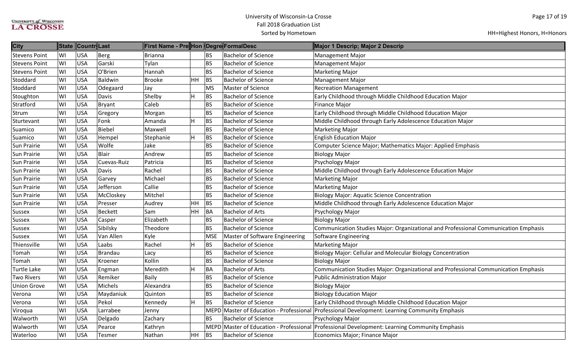| <b>City</b>          | <b>State</b> | Countr Last |             | ∥First Name - Pre∥Hon ∥Degre∥FormalDesc |           |            |                                         | Major 1 Descrip; Major 2 Descrip                                                              |
|----------------------|--------------|-------------|-------------|-----------------------------------------|-----------|------------|-----------------------------------------|-----------------------------------------------------------------------------------------------|
| <b>Stevens Point</b> | WI           | <b>USA</b>  | Berg        | Brianna                                 |           | <b>BS</b>  | <b>Bachelor of Science</b>              | <b>Management Major</b>                                                                       |
| <b>Stevens Point</b> | WI           | <b>USA</b>  | Garski      | Tylan                                   |           | <b>BS</b>  | <b>Bachelor of Science</b>              | <b>Management Major</b>                                                                       |
| <b>Stevens Point</b> | WI           | <b>USA</b>  | O'Brien     | Hannah                                  |           | <b>BS</b>  | <b>Bachelor of Science</b>              | <b>Marketing Major</b>                                                                        |
| Stoddard             | WI           | <b>USA</b>  | Baldwin     | Brooke                                  | <b>HH</b> | <b>BS</b>  | <b>Bachelor of Science</b>              | Management Major                                                                              |
| Stoddard             | WI           | <b>USA</b>  | Odegaard    | Jay                                     |           | <b>MS</b>  | Master of Science                       | <b>Recreation Management</b>                                                                  |
| Stoughton            | WI           | <b>USA</b>  | Davis       | Shelby                                  | H         | BS         | <b>Bachelor of Science</b>              | Early Childhood through Middle Childhood Education Major                                      |
| Stratford            | WI           | <b>USA</b>  | Bryant      | Caleb                                   |           | <b>BS</b>  | <b>Bachelor of Science</b>              | <b>Finance Major</b>                                                                          |
| Strum                | WI           | <b>USA</b>  | Gregory     | Morgan                                  |           | <b>BS</b>  | <b>Bachelor of Science</b>              | Early Childhood through Middle Childhood Education Major                                      |
| Sturtevant           | WI           | <b>USA</b>  | Fonk        | Amanda                                  | H         | BS         | <b>Bachelor of Science</b>              | Middle Childhood through Early Adolescence Education Major                                    |
| Suamico              | WI           | <b>USA</b>  | Biebel      | Maxwell                                 |           | <b>BS</b>  | <b>Bachelor of Science</b>              | <b>Marketing Major</b>                                                                        |
| Suamico              | WI           | <b>USA</b>  | Hempel      | Stephanie                               | H         | <b>BS</b>  | <b>Bachelor of Science</b>              | <b>English Education Major</b>                                                                |
| Sun Prairie          | WI           | <b>USA</b>  | Wolfe       | Jake                                    |           | <b>BS</b>  | <b>Bachelor of Science</b>              | Computer Science Major; Mathematics Major: Applied Emphasis                                   |
| Sun Prairie          | WI           | <b>USA</b>  | Blair       | Andrew                                  |           | <b>BS</b>  | <b>Bachelor of Science</b>              | <b>Biology Major</b>                                                                          |
| Sun Prairie          | WI           | <b>USA</b>  | Cuevas-Ruiz | Patricia                                |           | <b>BS</b>  | <b>Bachelor of Science</b>              | Psychology Major                                                                              |
| Sun Prairie          | WI           | <b>USA</b>  | Davis       | Rachel                                  |           | <b>BS</b>  | <b>Bachelor of Science</b>              | Middle Childhood through Early Adolescence Education Major                                    |
| Sun Prairie          | WI           | <b>USA</b>  | Garvey      | Michael                                 |           | <b>BS</b>  | <b>Bachelor of Science</b>              | <b>Marketing Major</b>                                                                        |
| Sun Prairie          | WI           | <b>USA</b>  | Jefferson   | Callie                                  |           | <b>BS</b>  | <b>Bachelor of Science</b>              | <b>Marketing Major</b>                                                                        |
| Sun Prairie          | WI           | <b>USA</b>  | McCloskey   | Mitchel                                 |           | <b>BS</b>  | <b>Bachelor of Science</b>              | <b>Biology Major: Aquatic Science Concentration</b>                                           |
| Sun Prairie          | WI           | <b>USA</b>  | Presser     | Audrey                                  | HH        | BS         | <b>Bachelor of Science</b>              | Middle Childhood through Early Adolescence Education Major                                    |
| Sussex               | WI           | <b>USA</b>  | Beckett     | Sam                                     | <b>HH</b> | BA         | <b>Bachelor of Arts</b>                 | Psychology Major                                                                              |
| Sussex               | WI           | <b>USA</b>  | Casper      | Elizabeth                               |           | <b>BS</b>  | <b>Bachelor of Science</b>              | <b>Biology Major</b>                                                                          |
| Sussex               | WI           | <b>USA</b>  | Sibilsky    | Theodore                                |           | <b>BS</b>  | <b>Bachelor of Science</b>              | Communication Studies Major: Organizational and Professional Communication Emphasis           |
| Sussex               | WI           | <b>USA</b>  | Van Allen   | Kyle                                    |           | <b>MSE</b> | Master of Software Engineering          | Software Engineering                                                                          |
| Thiensville          | WI           | <b>USA</b>  | Laabs       | Rachel                                  | H         | BS         | <b>Bachelor of Science</b>              | <b>Marketing Major</b>                                                                        |
| Tomah                | WI           | <b>USA</b>  | Brandau     | Lacy                                    |           | <b>BS</b>  | <b>Bachelor of Science</b>              | Biology Major: Cellular and Molecular Biology Concentration                                   |
| Tomah                | WI           | <b>USA</b>  | Kroener     | Kollin                                  |           | <b>BS</b>  | <b>Bachelor of Science</b>              | <b>Biology Major</b>                                                                          |
| Turtle Lake          | WI           | <b>USA</b>  | Engman      | Meredith                                | H         | <b>BA</b>  | <b>Bachelor of Arts</b>                 | Communication Studies Major: Organizational and Professional Communication Emphasis           |
| <b>Two Rivers</b>    | WI           | <b>USA</b>  | Remiker     | <b>Baily</b>                            |           | <b>BS</b>  | <b>Bachelor of Science</b>              | <b>Public Administration Major</b>                                                            |
| <b>Union Grove</b>   | WI           | <b>USA</b>  | Michels     | Alexandra                               |           | <b>BS</b>  | <b>Bachelor of Science</b>              | <b>Biology Major</b>                                                                          |
| Verona               | WI           | <b>USA</b>  | Maydaniuk   | Quinton                                 |           | <b>BS</b>  | <b>Bachelor of Science</b>              | <b>Biology Education Major</b>                                                                |
| Verona               | WI           | <b>USA</b>  | Pekol       | Kennedy                                 | H         | <b>BS</b>  | <b>Bachelor of Science</b>              | Early Childhood through Middle Childhood Education Major                                      |
| Viroqua              | WI           | <b>USA</b>  | Larrabee    | Jenny                                   |           |            | MEPD Master of Education - Professional | Professional Development: Learning Community Emphasis                                         |
| Walworth             | WI           | <b>USA</b>  | Delgado     | Zachary                                 |           | <b>BS</b>  | <b>Bachelor of Science</b>              | Psychology Major                                                                              |
| Walworth             | WI           | <b>USA</b>  | Pearce      | Kathryn                                 |           |            |                                         | MEPD Master of Education - Professional Professional Development: Learning Community Emphasis |
| Waterloo             | WI           | <b>USA</b>  | Tesmer      | Nathan                                  | HH        | BS         | <b>Bachelor of Science</b>              | Economics Major; Finance Major                                                                |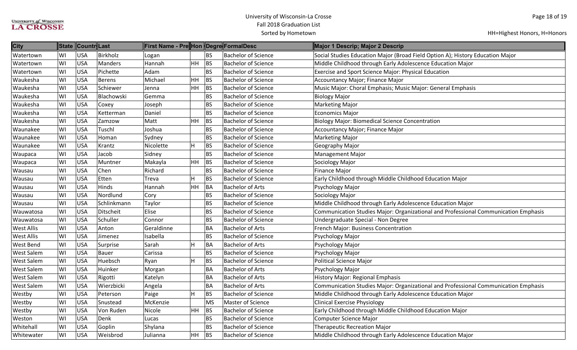| <b>City</b>       |     | State Countr Last |               | First Name - Pre  Hon   Degre  FormalDesc |           |           |                            | Major 1 Descrip; Major 2 Descrip                                                    |
|-------------------|-----|-------------------|---------------|-------------------------------------------|-----------|-----------|----------------------------|-------------------------------------------------------------------------------------|
| Watertown         | WI  | USA               | Birkholz      | Logan                                     |           | <b>BS</b> | <b>Bachelor of Science</b> | Social Studies Education Major (Broad Field Option A); History Education Major      |
| Watertown         | WI  | <b>USA</b>        | Manders       | Hannah                                    | HH        | BS        | <b>Bachelor of Science</b> | Middle Childhood through Early Adolescence Education Major                          |
| Watertown         | WI  | <b>USA</b>        | Pichette      | Adam                                      |           | <b>BS</b> | <b>Bachelor of Science</b> | <b>Exercise and Sport Science Major: Physical Education</b>                         |
| Waukesha          | WI  | USA               | <b>Berens</b> | Michael                                   | <b>HH</b> | <b>BS</b> | <b>Bachelor of Science</b> | Accountancy Major; Finance Major                                                    |
| Waukesha          | WI  | USA               | Schiewer      | Jenna                                     | HH        | BS        | <b>Bachelor of Science</b> | Music Major: Choral Emphasis; Music Major: General Emphasis                         |
| Waukesha          | WI  | USA               | Blachowski    | Gemma                                     |           | <b>BS</b> | <b>Bachelor of Science</b> | <b>Biology Major</b>                                                                |
| Waukesha          | WI  | USA               | Coxey         | Joseph                                    |           | <b>BS</b> | <b>Bachelor of Science</b> | Marketing Major                                                                     |
| Waukesha          | WI  | <b>USA</b>        | Ketterman     | Daniel                                    |           | <b>BS</b> | <b>Bachelor of Science</b> | <b>Economics Major</b>                                                              |
| Waukesha          | WI  | <b>USA</b>        | Zamzow        | Matt                                      | HH        | BS        | <b>Bachelor of Science</b> | <b>Biology Major: Biomedical Science Concentration</b>                              |
| Waunakee          | WI  | USA               | Tuschl        | Joshua                                    |           | <b>BS</b> | <b>Bachelor of Science</b> | Accountancy Major; Finance Major                                                    |
| Waunakee          | WI  | <b>USA</b>        | Homan         | Sydney                                    |           | <b>BS</b> | <b>Bachelor of Science</b> | <b>Marketing Major</b>                                                              |
| Waunakee          | WI  | USA               | Krantz        | Nicolette                                 | н         | <b>BS</b> | <b>Bachelor of Science</b> | Geography Major                                                                     |
| Waupaca           | WI  | USA               | Jacob         | Sidney                                    |           | <b>BS</b> | <b>Bachelor of Science</b> | Management Major                                                                    |
| Waupaca           | WI  | <b>USA</b>        | Muntner       | Makayla                                   | HH        | <b>BS</b> | <b>Bachelor of Science</b> | Sociology Major                                                                     |
| Wausau            | WI  | <b>USA</b>        | Chen          | Richard                                   |           | <b>BS</b> | <b>Bachelor of Science</b> | Finance Major                                                                       |
| Wausau            | WI  | <b>USA</b>        | Etten         | Treva                                     |           | BS        | <b>Bachelor of Science</b> | Early Childhood through Middle Childhood Education Major                            |
| Wausau            | WI  | <b>USA</b>        | Hinds         | Hannah                                    | HH        | <b>BA</b> | <b>Bachelor of Arts</b>    | Psychology Major                                                                    |
| Wausau            | WI  | <b>USA</b>        | Nordlund      | Cory                                      |           | <b>BS</b> | <b>Bachelor of Science</b> | Sociology Major                                                                     |
| Wausau            | lwı | USA               | Schlinkmann   | Taylor                                    |           | <b>BS</b> | <b>Bachelor of Science</b> | Middle Childhood through Early Adolescence Education Major                          |
| Wauwatosa         | WI  | USA               | Ditscheit     | Elise                                     |           | <b>BS</b> | <b>Bachelor of Science</b> | Communication Studies Major: Organizational and Professional Communication Emphasis |
| Wauwatosa         | WI  | <b>USA</b>        | Schuller      | Connor                                    |           | <b>BS</b> | <b>Bachelor of Science</b> | Undergraduate Special - Non Degree                                                  |
| <b>West Allis</b> | WI  | USA               | Anton         | Geraldinne                                |           | <b>BA</b> | <b>Bachelor of Arts</b>    | French Major: Business Concentration                                                |
| <b>West Allis</b> | WI  | USA               | Jimenez       | Isabella                                  |           | <b>BS</b> | <b>Bachelor of Science</b> | Psychology Major                                                                    |
| <b>West Bend</b>  | WI  | <b>USA</b>        | Surprise      | Sarah                                     | H         | <b>BA</b> | <b>Bachelor of Arts</b>    | Psychology Major                                                                    |
| <b>West Salem</b> | WI  | USA               | <b>Bauer</b>  | Carissa                                   |           | <b>BS</b> | <b>Bachelor of Science</b> | Psychology Major                                                                    |
| <b>West Salem</b> | WI  | USA               | Huebsch       | Ryan                                      | H         | <b>BS</b> | <b>Bachelor of Science</b> | Political Science Major                                                             |
| <b>West Salem</b> | WI  | USA               | Huinker       | Morgan                                    |           | <b>BA</b> | <b>Bachelor of Arts</b>    | Psychology Major                                                                    |
| <b>West Salem</b> | WI  | <b>USA</b>        | Rigotti       | Katelyn                                   |           | <b>BA</b> | <b>Bachelor of Arts</b>    | History Major: Regional Emphasis                                                    |
| <b>West Salem</b> | WI  | USA               | Wierzbicki    | Angela                                    |           | <b>BA</b> | <b>Bachelor of Arts</b>    | Communication Studies Major: Organizational and Professional Communication Emphasis |
| Westby            | WI  | <b>USA</b>        | Peterson      | Paige                                     |           | <b>BS</b> | <b>Bachelor of Science</b> | Middle Childhood through Early Adolescence Education Major                          |
| Westby            | WI  | <b>USA</b>        | Snustead      | McKenzie                                  |           | <b>MS</b> | <b>Master of Science</b>   | <b>Clinical Exercise Physiology</b>                                                 |
| Westby            | WI  | <b>USA</b>        | Von Ruden     | Nicole                                    | <b>HH</b> | <b>BS</b> | <b>Bachelor of Science</b> | Early Childhood through Middle Childhood Education Major                            |
| Weston            | WI  | <b>USA</b>        | Denk          | Lucas                                     |           | <b>BS</b> | <b>Bachelor of Science</b> | Computer Science Major                                                              |
| Whitehall         | WI  | USA               | Goplin        | Shylana                                   |           | <b>BS</b> | <b>Bachelor of Science</b> | <b>Therapeutic Recreation Major</b>                                                 |
| Whitewater        | WI  | USA               | Weisbrod      | Julianna                                  | <b>HH</b> | <b>BS</b> | <b>Bachelor of Science</b> | Middle Childhood through Early Adolescence Education Major                          |